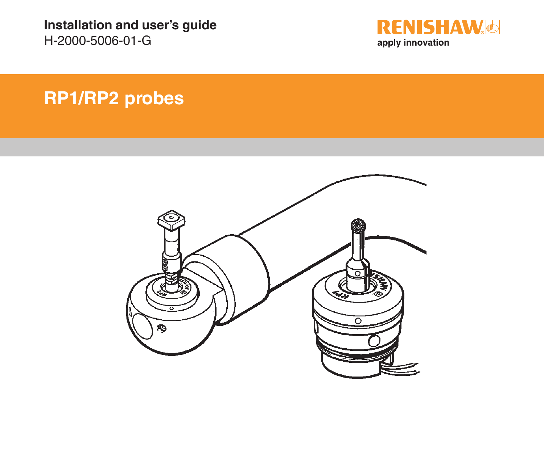**Installation and user's guide** H-2000-5006-01-G



# **RP1/RP2 probes**

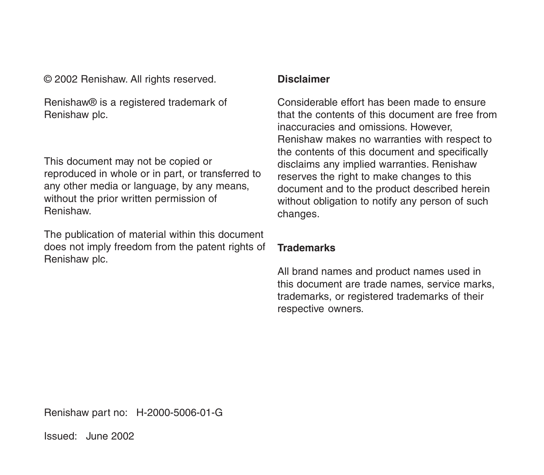© 2002 Renishaw. All rights reserved.

Renishaw® is a registered trademark of Renishaw plc.

This document may not be copied or reproduced in whole or in part, or transferred to any other media or language, by any means, without the prior written permission of Renishaw.

The publication of material within this document does not imply freedom from the patent rights of Renishaw plc.

#### **Disclaimer**

Considerable effort has been made to ensure that the contents of this document are free from inaccuracies and omissions. However, Renishaw makes no warranties with respect to the contents of this document and specifically disclaims any implied warranties. Renishaw reserves the right to make changes to this document and to the product described herein without obligation to notify any person of such changes.

#### **Trademarks**

All brand names and product names used in this document are trade names, service marks, trademarks, or registered trademarks of their respective owners.

Renishaw part no: H-2000-5006-01-G

Issued: June 2002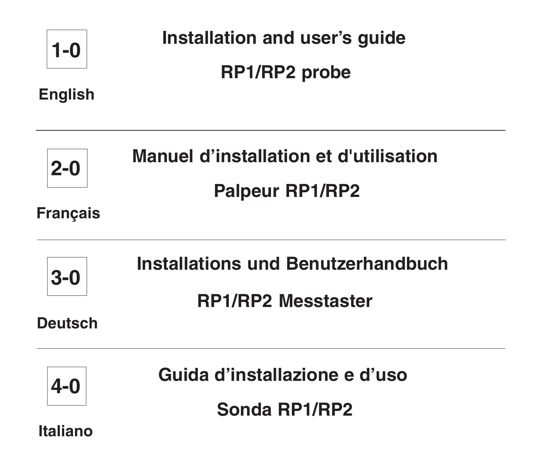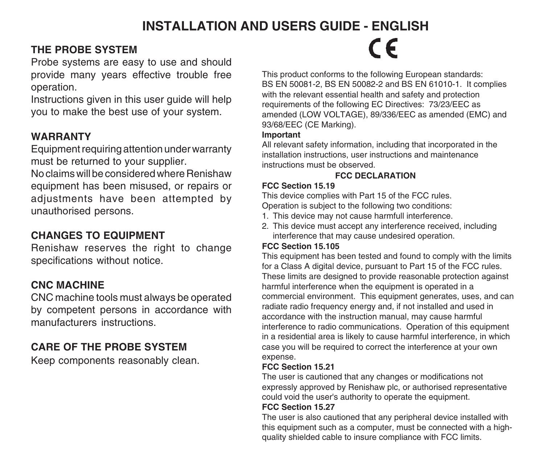# **INSTALLATION AND USERS GUIDE - ENGLISH**

#### **THE PROBE SYSTEM**

Probe systems are easy to use and should provide many years effective trouble free operation.

Instructions given in this user guide will help you to make the best use of your system.

#### **WARRANTY**

Equipment requiring attention under warranty must be returned to your supplier.

No claims will be considered where Renishaw equipment has been misused, or repairs or adjustments have been attempted by unauthorised persons.

## **CHANGES TO EQUIPMENT**

Renishaw reserves the right to change specifications without notice.

## **CNC MACHINE**

CNC machine tools must always be operated by competent persons in accordance with manufacturers instructions.

# **CARE OF THE PROBE SYSTEM**

Keep components reasonably clean.

# $\epsilon$

This product conforms to the following European standards: BS EN 50081-2, BS EN 50082-2 and BS EN 61010-1. It complies with the relevant essential health and safety and protection requirements of the following EC Directives: 73/23/EEC as amended (LOW VOLTAGE), 89/336/EEC as amended (EMC) and 93/68/EEC (CE Marking).

#### **Important**

All relevant safety information, including that incorporated in the installation instructions, user instructions and maintenance instructions must be observed.

#### **FCC DECLARATION**

#### **FCC Section 15.19**

This device complies with Part 15 of the FCC rules.

Operation is subject to the following two conditions:

- 1. This device may not cause harmfull interference.
- 2. This device must accept any interference received, including interference that may cause undesired operation.

#### **FCC Section 15.105**

This equipment has been tested and found to comply with the limits for a Class A digital device, pursuant to Part 15 of the FCC rules. These limits are designed to provide reasonable protection against harmful interference when the equipment is operated in a commercial environment. This equipment generates, uses, and can radiate radio frequency energy and, if not installed and used in accordance with the instruction manual, may cause harmful interference to radio communications. Operation of this equipment in a residential area is likely to cause harmful interference, in which case you will be required to correct the interference at your own expense.

#### **FCC Section 15.21**

The user is cautioned that any changes or modifications not expressly approved by Renishaw plc, or authorised representative could void the user's authority to operate the equipment.

#### **FCC Section 15.27**

The user is also cautioned that any peripheral device installed with this equipment such as a computer, must be connected with a highquality shielded cable to insure compliance with FCC limits.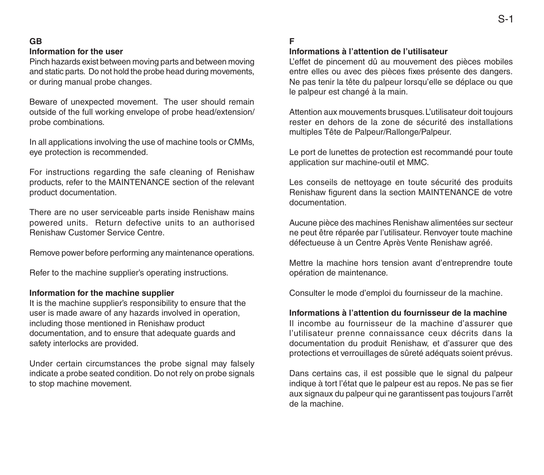#### **GB**

#### **Information for the user**

Pinch hazards exist between moving parts and between moving and static parts. Do not hold the probe head during movements, or during manual probe changes.

Beware of unexpected movement. The user should remain outside of the full working envelope of probe head/extension/ probe combinations.

In all applications involving the use of machine tools or CMMs, eye protection is recommended.

For instructions regarding the safe cleaning of Renishaw products, refer to the MAINTENANCE section of the relevant product documentation.

There are no user serviceable parts inside Renishaw mains powered units. Return defective units to an authorised Renishaw Customer Service Centre.

Remove power before performing any maintenance operations.

Refer to the machine supplier's operating instructions.

#### **Information for the machine supplier**

It is the machine supplier's responsibility to ensure that the user is made aware of any hazards involved in operation, including those mentioned in Renishaw product documentation, and to ensure that adequate guards and safety interlocks are provided.

Under certain circumstances the probe signal may falsely indicate a probe seated condition. Do not rely on probe signals to stop machine movement.

#### **F**

#### **Informations à l'attention de l'utilisateur**

L'effet de pincement dû au mouvement des pièces mobiles entre elles ou avec des pièces fixes présente des dangers. Ne pas tenir la tête du palpeur lorsqu'elle se déplace ou que le palpeur est changé à la main.

Attention aux mouvements brusques. L'utilisateur doit toujours rester en dehors de la zone de sécurité des installations multiples Tête de Palpeur/Rallonge/Palpeur.

Le port de lunettes de protection est recommandé pour toute application sur machine-outil et MMC.

Les conseils de nettoyage en toute sécurité des produits Renishaw figurent dans la section MAINTENANCE de votre documentation.

Aucune pièce des machines Renishaw alimentées sur secteur ne peut être réparée par l'utilisateur. Renvoyer toute machine défectueuse à un Centre Après Vente Renishaw agréé.

Mettre la machine hors tension avant d'entreprendre toute opération de maintenance.

Consulter le mode d'emploi du fournisseur de la machine.

#### **Informations à l'attention du fournisseur de la machine**

Il incombe au fournisseur de la machine d'assurer que l'utilisateur prenne connaissance ceux décrits dans la documentation du produit Renishaw, et d'assurer que des protections et verrouillages de sûreté adéquats soient prévus.

Dans certains cas, il est possible que le signal du palpeur indique à tort l'état que le palpeur est au repos. Ne pas se fier aux signaux du palpeur qui ne garantissent pas toujours l'arrêt de la machine.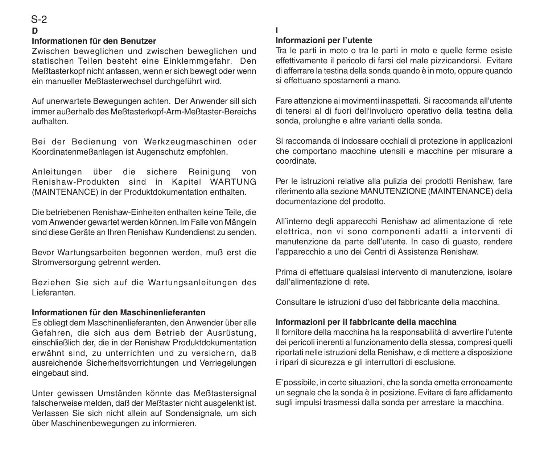# S-2

#### **D**

#### **Informationen für den Benutzer**

Zwischen beweglichen und zwischen beweglichen und statischen Teilen besteht eine Einklemmgefahr. Den Meßtasterkopf nicht anfassen, wenn er sich bewegt oder wenn ein manueller Meßtasterwechsel durchgeführt wird.

Auf unerwartete Bewegungen achten. Der Anwender sill sich immer außerhalb des Meßtasterkopf-Arm-Meßtaster-Bereichs aufhalten.

Bei der Bedienung von Werkzeugmaschinen oder Koordinatenmeßanlagen ist Augenschutz empfohlen.

Anleitungen über die sichere Reinigung von Renishaw-Produkten sind in Kapitel WARTUNG (MAINTENANCE) in der Produktdokumentation enthalten.

Die betriebenen Renishaw-Einheiten enthalten keine Teile, die vom Anwender gewartet werden können. Im Falle von Mängeln sind diese Geräte an Ihren Renishaw Kundendienst zu senden.

Bevor Wartungsarbeiten begonnen werden, muß erst die Stromversorgung getrennt werden.

Beziehen Sie sich auf die Wartungsanleitungen des Lieferanten.

#### **Informationen für den Maschinenlieferanten**

Es obliegt dem Maschinenlieferanten, den Anwender über alle Gefahren, die sich aus dem Betrieb der Ausrüstung, einschließlich der, die in der Renishaw Produktdokumentation erwähnt sind, zu unterrichten und zu versichern, daß ausreichende Sicherheitsvorrichtungen und Verriegelungen eingebaut sind.

Unter gewissen Umständen könnte das Meßtastersignal falscherweise melden, daß der Meßtaster nicht ausgelenkt ist. Verlassen Sie sich nicht allein auf Sondensignale, um sich über Maschinenbewegungen zu informieren.

#### **I**

#### **Informazioni per l'utente**

Tra le parti in moto o tra le parti in moto e quelle ferme esiste effettivamente il pericolo di farsi del male pizzicandorsi. Evitare di afferrare la testina della sonda quando è in moto, oppure quando si effettuano spostamenti a mano.

Fare attenzione ai movimenti inaspettati. Si raccomanda all'utente di tenersi al di fuori dell'involucro operativo della testina della sonda, prolunghe e altre varianti della sonda.

Si raccomanda di indossare occhiali di protezione in applicazioni che comportano macchine utensili e macchine per misurare a coordinate.

Per le istruzioni relative alla pulizia dei prodotti Renishaw, fare riferimento alla sezione MANUTENZIONE (MAINTENANCE) della documentazione del prodotto.

All'interno degli apparecchi Renishaw ad alimentazione di rete elettrica, non vi sono componenti adatti a interventi di manutenzione da parte dell'utente. In caso di guasto, rendere l'apparecchio a uno dei Centri di Assistenza Renishaw.

Prima di effettuare qualsiasi intervento di manutenzione, isolare dall'alimentazione di rete.

Consultare le istruzioni d'uso del fabbricante della macchina.

#### **Informazioni per il fabbricante della macchina**

Il fornitore della macchina ha la responsabilità di avvertire l'utente dei pericoli inerenti al funzionamento della stessa, compresi quelli riportati nelle istruzioni della Renishaw, e di mettere a disposizione i ripari di sicurezza e gli interruttori di esclusione.

E' possibile, in certe situazioni, che la sonda emetta erroneamente un segnale che la sonda è in posizione. Evitare di fare affidamento sugli impulsi trasmessi dalla sonda per arrestare la macchina.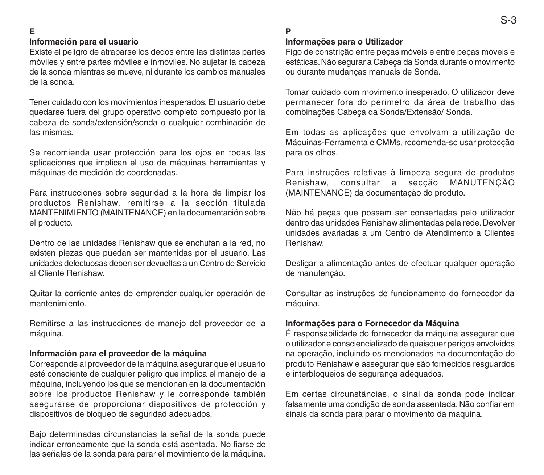#### **E**

#### **Información para el usuario**

Existe el peligro de atraparse los dedos entre las distintas partes móviles y entre partes móviles e inmoviles. No sujetar la cabeza de la sonda mientras se mueve, ni durante los cambios manuales de la sonda.

Tener cuidado con los movimientos inesperados. El usuario debe quedarse fuera del grupo operativo completo compuesto por la cabeza de sonda/extensión/sonda o cualquier combinación de las mismas.

Se recomienda usar protección para los ojos en todas las aplicaciones que implican el uso de máquinas herramientas y máquinas de medición de coordenadas.

Para instrucciones sobre seguridad a la hora de limpiar los productos Renishaw, remitirse a la sección titulada MANTENIMIENTO (MAINTENANCE) en la documentación sobre el producto.

Dentro de las unidades Renishaw que se enchufan a la red, no existen piezas que puedan ser mantenidas por el usuario. Las unidades defectuosas deben ser devueltas a un Centro de Servicio al Cliente Renishaw.

Quitar la corriente antes de emprender cualquier operación de mantenimiento.

Remitirse a las instrucciones de manejo del proveedor de la máquina.

#### **Información para el proveedor de la máquina**

Corresponde al proveedor de la máquina asegurar que el usuario esté consciente de cualquier peligro que implica el manejo de la máquina, incluyendo los que se mencionan en la documentación sobre los productos Renishaw y le corresponde también asegurarse de proporcionar dispositivos de protección y dispositivos de bloqueo de seguridad adecuados.

Bajo determinadas circunstancias la señal de la sonda puede indicar erroneamente que la sonda está asentada. No fiarse de las señales de la sonda para parar el movimiento de la máquina.

#### **P**

#### **Informações para o Utilizador**

Figo de constrição entre peças móveis e entre peças móveis e estáticas. Não segurar a Cabeça da Sonda durante o movimento ou durante mudanças manuais de Sonda.

Tomar cuidado com movimento inesperado. O utilizador deve permanecer fora do perímetro da área de trabalho das combinações Cabeça da Sonda/Extensão/ Sonda.

Em todas as aplicações que envolvam a utilização de Máquinas-Ferramenta e CMMs, recomenda-se usar protecção para os olhos.

Para instruções relativas à limpeza segura de produtos Renishaw, consultar a secção MANUTENÇÃO (MAINTENANCE) da documentação do produto.

Não há peças que possam ser consertadas pelo utilizador dentro das unidades Renishaw alimentadas pela rede. Devolver unidades avariadas a um Centro de Atendimento a Clientes Renishaw.

Desligar a alimentação antes de efectuar qualquer operação de manutenção.

Consultar as instruções de funcionamento do fornecedor da máquina.

#### **Informações para o Fornecedor da Máquina**

É responsabilidade do fornecedor da máquina assegurar que o utilizador e consciencializado de quaisquer perigos envolvidos na operação, incluindo os mencionados na documentação do produto Renishaw e assegurar que são fornecidos resguardos e interbloqueios de segurança adequados.

Em certas circunstâncias, o sinal da sonda pode indicar falsamente uma condição de sonda assentada. Não confiar em sinais da sonda para parar o movimento da máquina.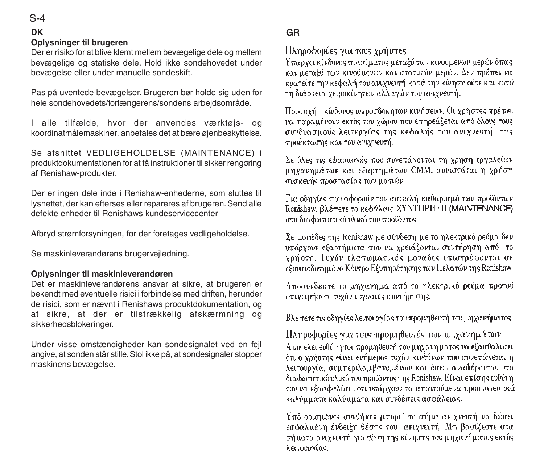#### S-4

#### **DK**

#### **Oplysninger til brugeren**

Der er risiko for at blive klemt mellem bevægelige dele og mellem bevægelige og statiske dele. Hold ikke sondehovedet under bevægelse eller under manuelle sondeskift.

Pas på uventede bevægelser. Brugeren bør holde sig uden for hele sondehovedets/forlængerens/sondens arbejdsområde.

I alle tilfælde, hvor der anvendes værktøjs- og koordinatmålemaskiner, anbefales det at bære øjenbeskyttelse.

Se afsnittet VEDLIGEHOLDELSE (MAINTENANCE) i produktdokumentationen for at få instruktioner til sikker rengøring af Renishaw-produkter.

Der er ingen dele inde i Renishaw-enhederne, som sluttes til lysnettet, der kan efterses eller repareres af brugeren. Send alle defekte enheder til Renishaws kundeservicecenter

Afbryd strømforsyningen, før der foretages vedligeholdelse.

Se maskinleverandørens brugervejledning.

#### **Oplysninger til maskinleverandøren**

Det er maskinleverandørens ansvar at sikre, at brugeren er bekendt med eventuelle risici i forbindelse med driften, herunder de risici, som er nævnt i Renishaws produktdokumentation, og at sikre, at der er tilstrækkelig afskærmning og sikkerhedsblokeringer.

Under visse omstændigheder kan sondesignalet ved en fejl angive, at sonden står stille. Stol ikke på, at sondesignaler stopper maskinens bevægelse.

#### GR

Πληροφορίες για τους χρήστες

Υπάργει κίνδυνος πιασίματος μεταξύ των κινούμενων μερών όπως και μεταξύ των κινούμενων και στατικών μερών. Δεν πρέπει να κρατείτε την κεφαλή του ανιχνευτή κατά την κίνηση ούτε και κατά τη διάρκεια γειροκίνητων αλλαγών του ανιγνευτή.

Προσοχή - κίνδονος απροσδόκητων κινήσεων. Οι χρήστες πρέπει να παραμένουν εκτός του γώρου που επηρεάζεται από όλους τους συνδυασμούς λειτυργίας της κεφαλής του ανιγνευτή, της προέκτασης και του ανιχνευτή.

Σε όλες τις εφαρμονές που συνεπάνονται τη χρήση εργαλείων μηγανημάτων και εξαρτημάτων CMM, συνιστάται η χρήση συσκευής προστασίας των ματιών.

Για οδηγίες που αφορούν τον ασφαλή καθαρισμό των προϊόντων Renishaw, βλέπετε το κεφάλαιο ΣΥΝΤΗΡΗΕΗ (MAINTENANCE) στο διαφωτιστικό υλικό του προϊόντος.

Σε μονάδες της Renishaw με σύνδεση με το ηλεκτρικό ρεύμα δεν υπάρχουν εξαρτήματα που να χρειάζονται συντήρηση από το χρήστη. Τυχόν ελαπωματικές μονάδες επιστρέφονται σε εξουσιοδοτημένο Κέντρο Εξυπηρέτησης των Πελατών της Renishaw.

Αποσυνδέστε το μηχάνημα από το ηλεκτρικό ρεύμα προτού επιχειρήσετε τυχόν εργασίες συντήρησης.

Βλέπετε τις οδηγίες λειτουργίας του προμηθευτή του μηχανήματος.

Πληροφορίες για τους προμηθευτές των μηχανημάτων Αποτελεί ευθύνη του προμηθευτή του μηχανή ματος να εξασθαλίσει ότι ο χρήστης είναι ενήμερος τυχόν κινδύνων που συνεπάγεται η λειτουργία, συμπεριλαμβανομένων και όσων αναφέρονται στο διαφωτστικό υλικό του προϊόντος της Renishaw. Είναι επίσης ευθύνη του να εξασφαλίσει ότι υπάρχουν τα απαιτούμενα προστατευτικά καλύμματα καλύμματα και συνδέσεις ασφάλειας.

Υπό ορισμένες συνθήκες μπορεί το σήμα ανιχνευτή να δώσει εσφαλμένη ένδειξη θέσης του ανιγνευτή. Μη βασίζεστε στα σήματα ανιχνευτή για θέση της κίνησης του μηχανήματος εκτός λειτουργίας.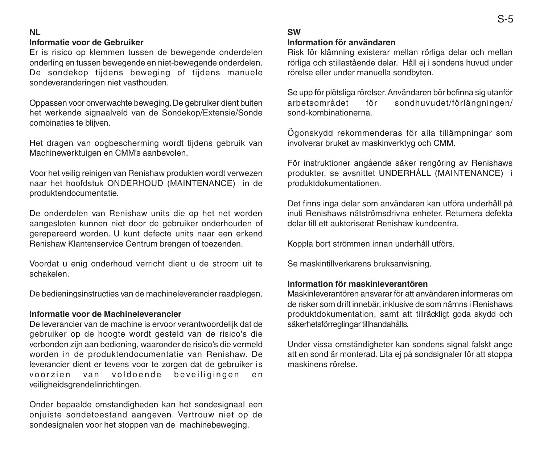#### **NL**

#### **Informatie voor de Gebruiker**

Er is risico op klemmen tussen de bewegende onderdelen onderling en tussen bewegende en niet-bewegende onderdelen. De sondekop tijdens beweging of tijdens manuele sondeveranderingen niet vasthouden.

Oppassen voor onverwachte beweging. De gebruiker dient buiten het werkende signaalveld van de Sondekop/Extensie/Sonde combinaties te blijven.

Het dragen van oogbescherming wordt tijdens gebruik van Machinewerktuigen en CMM's aanbevolen.

Voor het veilig reinigen van Renishaw produkten wordt verwezen naar het hoofdstuk ONDERHOUD (MAINTENANCE) in de produktendocumentatie.

De onderdelen van Renishaw units die op het net worden aangesloten kunnen niet door de gebruiker onderhouden of gerepareerd worden. U kunt defecte units naar een erkend Renishaw Klantenservice Centrum brengen of toezenden.

Voordat u enig onderhoud verricht dient u de stroom uit te schakelen.

De bedieningsinstructies van de machineleverancier raadplegen.

#### **Informatie voor de Machineleverancier**

De leverancier van de machine is ervoor verantwoordelijk dat de gebruiker op de hoogte wordt gesteld van de risico's die verbonden zijn aan bediening, waaronder de risico's die vermeld worden in de produktendocumentatie van Renishaw. De leverancier dient er tevens voor te zorgen dat de gebruiker is voorzien van voldoende beveiligingen en veiligheidsgrendelinrichtingen.

Onder bepaalde omstandigheden kan het sondesignaal een onjuiste sondetoestand aangeven. Vertrouw niet op de sondesignalen voor het stoppen van de machinebeweging.

#### **SW**

#### **Information för användaren**

Risk för klämning existerar mellan rörliga delar och mellan rörliga och stillastående delar. Håll ej i sondens huvud under rörelse eller under manuella sondbyten.

Se upp för plötsliga rörelser. Användaren bör befinna sig utanför arbetsområdet för sondhuvudet/förlängningen/ sond-kombinationerna.

Ögonskydd rekommenderas för alla tillämpningar som involverar bruket av maskinverktyg och CMM.

För instruktioner angående säker rengöring av Renishaws produkter, se avsnittet UNDERHÅLL (MAINTENANCE) i produktdokumentationen.

Det finns inga delar som användaren kan utföra underhåll på inuti Renishaws nätströmsdrivna enheter. Returnera defekta delar till ett auktoriserat Renishaw kundcentra.

Koppla bort strömmen innan underhåll utförs.

Se maskintillverkarens bruksanvisning.

#### **Information för maskinleverantören**

Maskinleverantören ansvarar för att användaren informeras om de risker som drift innebär, inklusive de som nämns i Renishaws produktdokumentation, samt att tillräckligt goda skydd och säkerhetsförreglingar tillhandahålls.

Under vissa omständigheter kan sondens signal falskt ange att en sond är monterad. Lita ej på sondsignaler för att stoppa maskinens rörelse.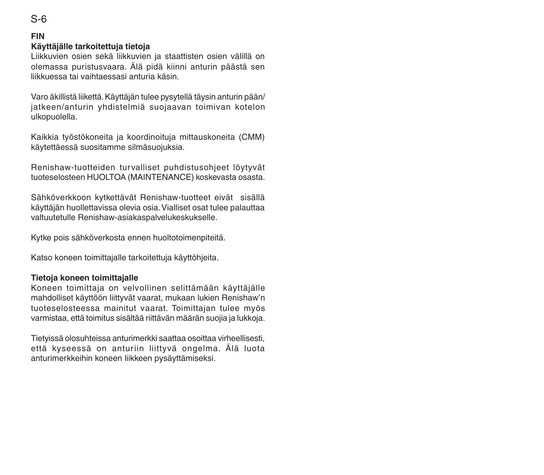### **FIN** S-6

#### **Käyttäjälle tarkoitettuja tietoja**

Liikkuvien osien sekä liikkuvien ja staattisten osien välillä on olemassa puristusvaara. Älä pidä kiinni anturin päästä sen liikkuessa tai vaihtaessasi anturia käsin.

Varo äkillistä liikettä. Käyttäjän tulee pysytellä täysin anturin pään/ jatkeen/anturin yhdistelmiä suojaavan toimivan kotelon ulkopuolella.

Kaikkia työstökoneita ja koordinoituja mittauskoneita (CMM) käytettäessä suositamme silmäsuojuksia.

Renishaw-tuotteiden turvalliset puhdistusohjeet löytyvät tuoteselosteen HUOLTOA (MAINTENANCE) koskevasta osasta.

Sähköverkkoon kytkettävät Renishaw-tuotteet eivät sisällä käyttäjän huollettavissa olevia osia. Vialliset osat tulee palauttaa valtuutetulle Renishaw-asiakaspalvelukeskukselle.

Kytke pois sähköverkosta ennen huoltotoimenpiteitä.

Katso koneen toimittajalle tarkoitettuja käyttöhjeita.

#### **Tietoja koneen toimittajalle**

Koneen toimittaja on velvollinen selittämään käyttäjälle mahdolliset käyttöön liittyvät vaarat, mukaan lukien Renishaw'n tuoteselosteessa mainitut vaarat. Toimittajan tulee myös varmistaa, että toimitus sisältää riittävän määrän suojia ja lukkoja.

Tietyissä olosuhteissa anturimerkki saattaa osoittaa virheellisesti, että kyseessä on anturiin liittyvä ongelma. Älä luota anturimerkkeihin koneen liikkeen pysäyttämiseksi.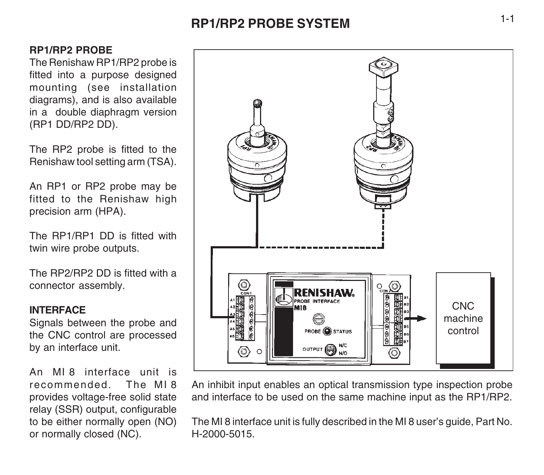# **RP1/RP2 PROBE SYSTEM**

## **RP1/RP2 PROBE**

The Renishaw RP1/RP2 probe is fitted into a purpose designed mounting (see installation diagrams), and is also available in a double diaphragm version (RP1 DD/RP2 DD).

The RP2 probe is fitted to the Renishaw tool setting arm (TSA).

An RP1 or RP2 probe may be fitted to the Renishaw high precision arm (HPA).

The RP1/RP1 DD is fitted with twin wire probe outputs.

The RP2/RP2 DD is fitted with a connector assembly.

#### **INTERFACE**

Signals between the probe and the CNC control are processed by an interface unit.

An MI 8 interface unit is recommended. The MI 8 provides voltage-free solid state relay (SSR) output, configurable to be either normally open (NO) or normally closed (NC).



An inhibit input enables an optical transmission type inspection probe and interface to be used on the same machine input as the RP1/RP2.

The MI 8 interface unit is fully described in the MI 8 user's guide, Part No. H-2000-5015.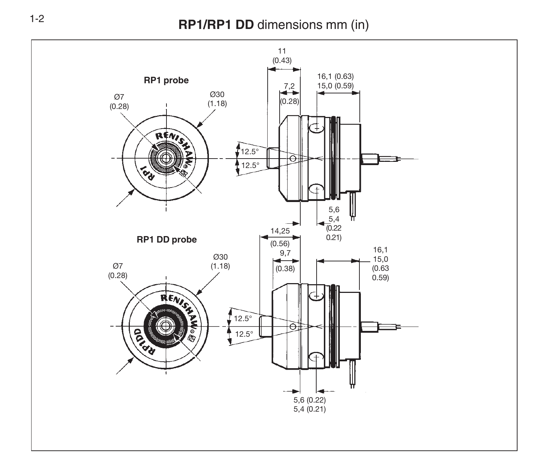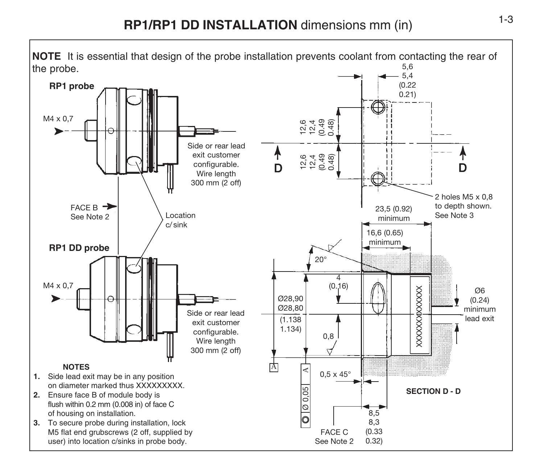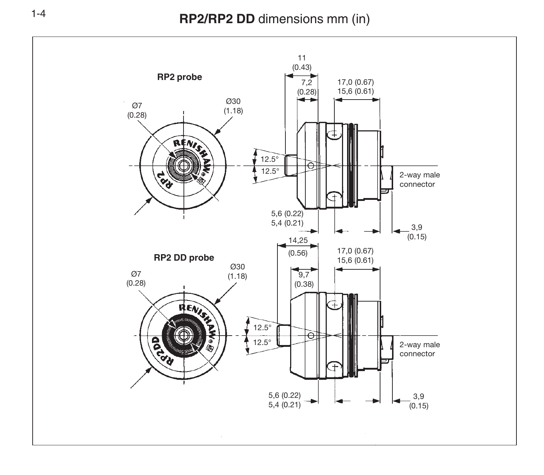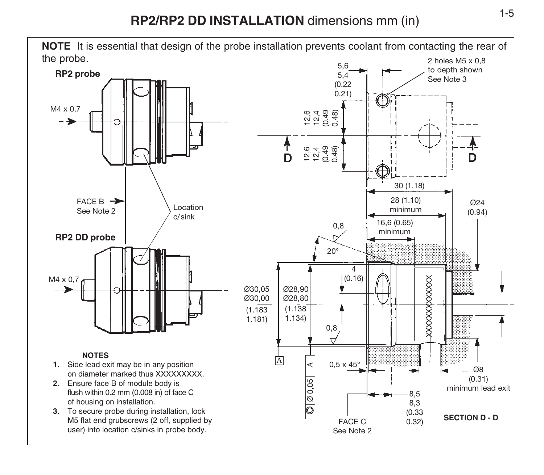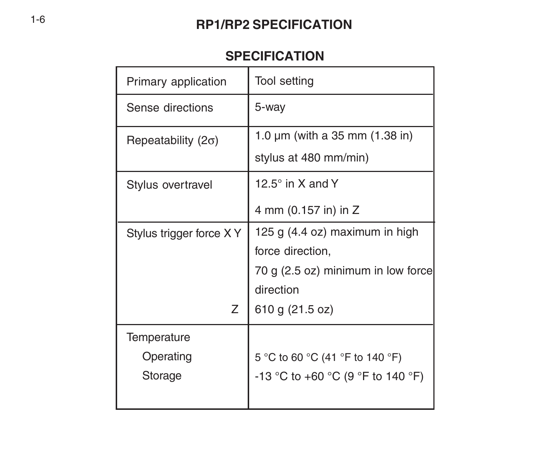# **RP1/RP2 SPECIFICATION**

# **SPECIFICATION**

| Primary application         | Tool setting                        |
|-----------------------------|-------------------------------------|
| Sense directions            | 5-way                               |
| Repeatability (2 $\sigma$ ) | 1.0 $\mu$ m (with a 35 mm (1.38 in) |
|                             | stylus at 480 mm/min)               |
| Stylus overtravel           | 12.5 $^{\circ}$ in X and Y          |
|                             | 4 mm (0.157 in) in Z                |
| Stylus trigger force X Y    | 125 g (4.4 oz) maximum in high      |
|                             | force direction,                    |
|                             | 70 g (2.5 oz) minimum in low force  |
|                             | direction                           |
| Z                           | 610 g (21.5 oz)                     |
| Temperature                 |                                     |
| Operating                   | 5 °C to 60 °C (41 °F to 140 °F)     |
| Storage                     | -13 °C to +60 °C (9 °F to 140 °F)   |
|                             |                                     |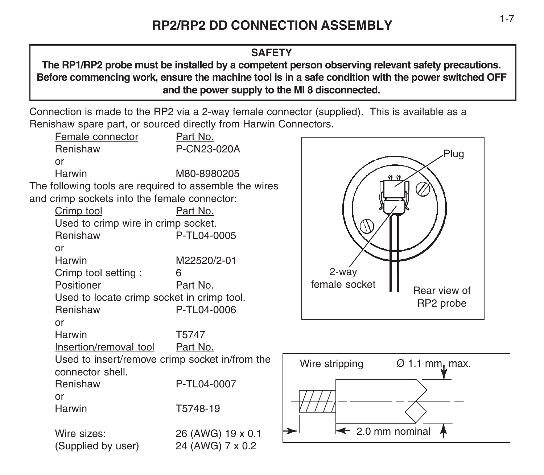## **SAFETY**

**The RP1/RP2 probe must be installed by a competent person observing relevant safety precautions. Before commencing work, ensure the machine tool is in a safe condition with the power switched OFF and the power supply to the MI 8 disconnected.**

Connection is made to the RP2 via a 2-way female connector (supplied). This is available as a Renishaw spare part, or sourced directly from Harwin Connectors.





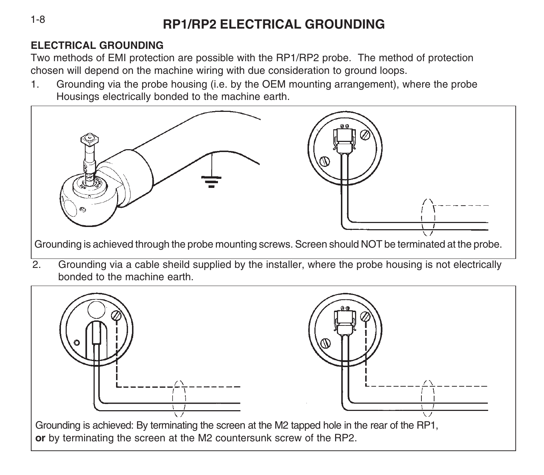# **RP1/RP2 ELECTRICAL GROUNDING**

# **ELECTRICAL GROUNDING**

Two methods of EMI protection are possible with the RP1/RP2 probe. The method of protection chosen will depend on the machine wiring with due consideration to ground loops.

1. Grounding via the probe housing (i.e. by the OEM mounting arrangement), where the probe Housings electrically bonded to the machine earth.



bonded to the machine earth.



1-8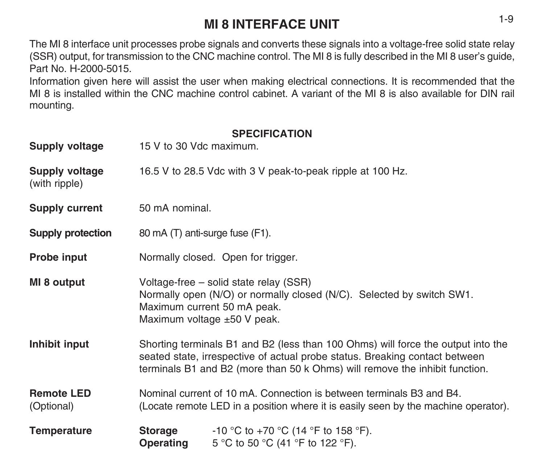# **MI 8 INTERFACE UNIT** 1-9

The MI 8 interface unit processes probe signals and converts these signals into a voltage-free solid state relay (SSR) output, for transmission to the CNC machine control. The MI 8 is fully described in the MI 8 user's guide, Part No. H-2000-5015.

Information given here will assist the user when making electrical connections. It is recommended that the MI 8 is installed within the CNC machine control cabinet. A variant of the MI 8 is also available for DIN rail mounting.

## **SPECIFICATION**

| Supply voltage                  | 15 V to 30 Vdc maximum.                                                                                                                                                                                                                        |                                                                         |  |
|---------------------------------|------------------------------------------------------------------------------------------------------------------------------------------------------------------------------------------------------------------------------------------------|-------------------------------------------------------------------------|--|
| Supply voltage<br>(with ripple) | 16.5 V to 28.5 Vdc with 3 V peak-to-peak ripple at 100 Hz.                                                                                                                                                                                     |                                                                         |  |
| Supply current                  | 50 mA nominal.                                                                                                                                                                                                                                 |                                                                         |  |
| Supply protection               | 80 mA (T) anti-surge fuse (F1).                                                                                                                                                                                                                |                                                                         |  |
| Probe input                     | Normally closed. Open for trigger.                                                                                                                                                                                                             |                                                                         |  |
| MI 8 output                     | Voltage-free – solid state relay (SSR)<br>Normally open (N/O) or normally closed (N/C). Selected by switch SW1.<br>Maximum current 50 mA peak.<br>Maximum voltage $\pm 50$ V peak.                                                             |                                                                         |  |
| Inhibit input                   | Shorting terminals B1 and B2 (less than 100 Ohms) will force the output into the<br>seated state, irrespective of actual probe status. Breaking contact between<br>terminals B1 and B2 (more than 50 k Ohms) will remove the inhibit function. |                                                                         |  |
| <b>Remote LED</b><br>(Optional) | Nominal current of 10 mA. Connection is between terminals B3 and B4.<br>(Locate remote LED in a position where it is easily seen by the machine operator).                                                                                     |                                                                         |  |
| Temperature                     | Storage<br>Operating                                                                                                                                                                                                                           | -10 °C to +70 °C (14 °F to 158 °F).<br>5 °C to 50 °C (41 °F to 122 °F). |  |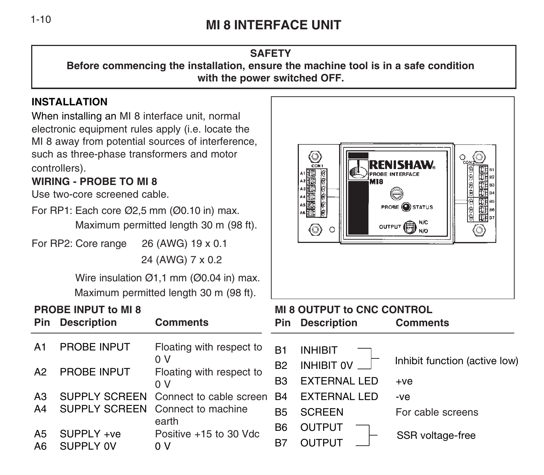# **MI 8 INTERFACE UNIT** 1-10

#### **SAFETY Before commencing the installation, ensure the machine tool is in a safe condition with the power switched OFF.**

# **INSTALLATION**

When installing an MI 8 interface unit, normal electronic equipment rules apply (i.e. locate the MI 8 away from potential sources of interference, such as three-phase transformers and motor controllers).

#### **WIRING - PROBE TO MI 8**

Use two-core screened cable.

For RP1: Each core Ø2,5 mm (Ø0.10 in) max.

Maximum permitted length 30 m (98 ft).

For RP2: Core range 26 (AWG) 19 x 0.1

24 (AWG) 7 x 0.2

Wire insulation Ø1,1 mm (Ø0.04 in) max. Maximum permitted length 30 m (98 ft).



# 0) <u>್ಞ0</u>  $\sum_{\text{CON}}$ 出出出目 PRORE INTERFACE **B MIR**  $\frac{8}{9}$  $\frac{1}{\frac{1}{2}}$ in<br>History<br>Elisabeth **PROBE OSTATUS** OUTPUT **B**  $\circledcirc$ 6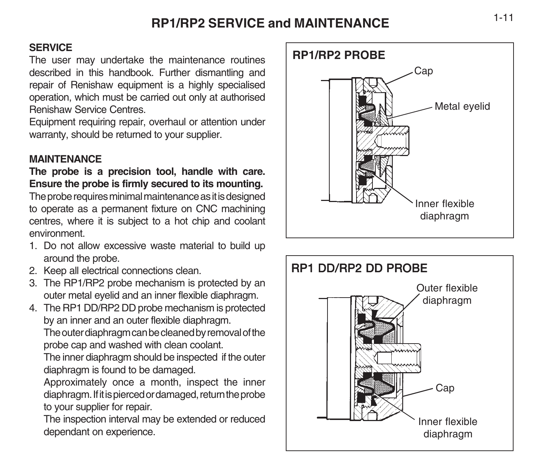# **RP1/RP2 SERVICE and MAINTENANCE**

## **SERVICE**

The user may undertake the maintenance routines described in this handbook. Further dismantling and repair of Renishaw equipment is a highly specialised operation, which must be carried out only at authorised Renishaw Service Centres.

Equipment requiring repair, overhaul or attention under warranty, should be returned to your supplier.

## **MAINTENANCE**

**The probe is a precision tool, handle with care. Ensure the probe is firmly secured to its mounting.**

The probe requires minimal maintenance as it is designed to operate as a permanent fixture on CNC machining centres, where it is subject to a hot chip and coolant environment.

- 1. Do not allow excessive waste material to build up around the probe.
- 2. Keep all electrical connections clean.
- 3. The RP1/RP2 probe mechanism is protected by an outer metal eyelid and an inner flexible diaphragm.
- 4. The RP1 DD/RP2 DD probe mechanism is protected by an inner and an outer flexible diaphragm.

The outer diaphragm can be cleaned by removal of the probe cap and washed with clean coolant.

The inner diaphragm should be inspected if the outer diaphragm is found to be damaged.

Approximately once a month, inspect the inner diaphragm. If it is pierced or damaged, return the probe to your supplier for repair.

The inspection interval may be extended or reduced dependant on experience.



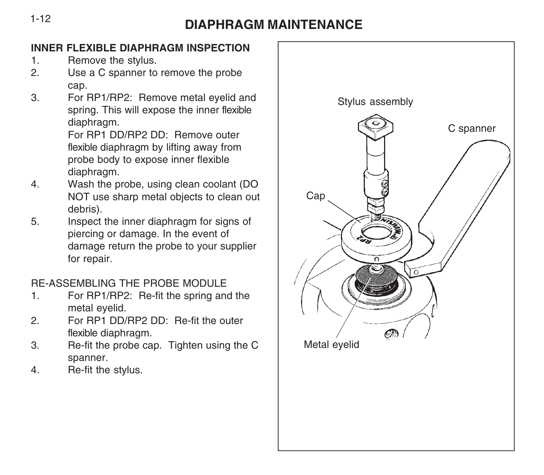# **DIAPHRAGM MAINTENANCE** 1-12

## **INNER FLEXIBLE DIAPHRAGM INSPECTION**

- 1. Remove the stylus.
- 2. Use a C spanner to remove the probe cap.
- 3. For RP1/RP2: Remove metal eyelid and spring. This will expose the inner flexible diaphragm.

For RP1 DD/RP2 DD: Remove outer flexible diaphragm by lifting away from probe body to expose inner flexible diaphragm.

- 4. Wash the probe, using clean coolant (DO NOT use sharp metal objects to clean out debris).
- 5. Inspect the inner diaphragm for signs of piercing or damage. In the event of damage return the probe to your supplier for repair.

# RE-ASSEMBLING THE PROBE MODULE

- 1. For RP1/RP2: Re-fit the spring and the metal eyelid.
- 2. For RP1 DD/RP2 DD: Re-fit the outer flexible diaphragm.
- 3. Re-fit the probe cap. Tighten using the C spanner.
- 4. Re-fit the stylus.

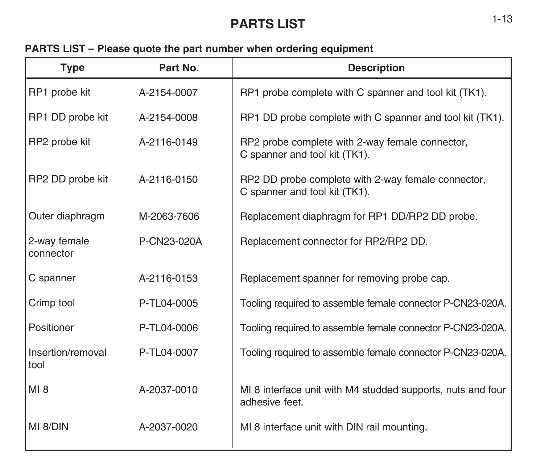# **PARTS LIST** 1-13

# **PARTS LIST – Please quote the part number when ordering equipment**

| <b>Type</b>               | Part No.    | <b>Description</b>                                                                  |
|---------------------------|-------------|-------------------------------------------------------------------------------------|
| RP1 probe kit             | A-2154-0007 | RP1 probe complete with C spanner and tool kit (TK1).                               |
| RP1 DD probe kit          | A-2154-0008 | RP1 DD probe complete with C spanner and tool kit (TK1).                            |
| RP2 probe kit             | A-2116-0149 | RP2 probe complete with 2-way female connector.<br>C spanner and tool kit (TK1).    |
| RP2 DD probe kit          | A-2116-0150 | RP2 DD probe complete with 2-way female connector.<br>C spanner and tool kit (TK1). |
| Outer diaphragm           | M-2063-7606 | Replacement diaphragm for RP1 DD/RP2 DD probe.                                      |
| 2-way female<br>connector | P-CN23-020A | Replacement connector for RP2/RP2 DD.                                               |
| C spanner                 | A-2116-0153 | Replacement spanner for removing probe cap.                                         |
| Crimp tool                | P-TL04-0005 | Tooling required to assemble female connector P-CN23-020A.                          |
| Positioner                | P-TL04-0006 | Tooling required to assemble female connector P-CN23-020A.                          |
| Insertion/removal<br>tool | P-TL04-0007 | Tooling required to assemble female connector P-CN23-020A.                          |
| MI 8                      | A-2037-0010 | MI 8 interface unit with M4 studded supports, nuts and four<br>adhesive feet.       |
| MI 8/DIN                  | A-2037-0020 | MI 8 interface unit with DIN rail mounting.                                         |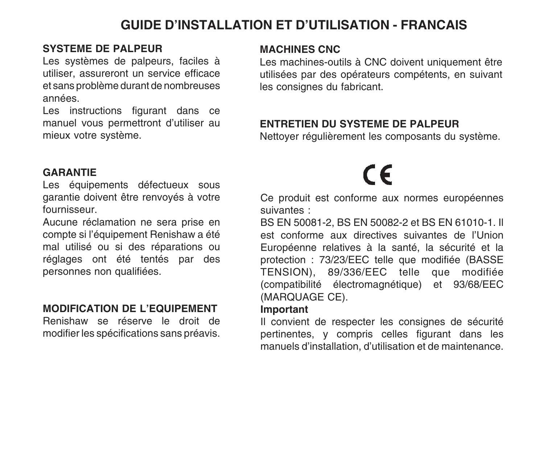# **GUIDE D'INSTALLATION ET D'UTILISATION - FRANCAIS**

#### **SYSTEME DE PALPEUR**

Les systèmes de palpeurs, faciles à utiliser, assureront un service efficace et sans problème durant de nombreuses années.

Les instructions figurant dans ce manuel vous permettront d'utiliser au mieux votre système.

#### **GARANTIE**

Les équipements défectueux sous garantie doivent être renvoyés à votre fournisseur.

Aucune réclamation ne sera prise en compte si l'équipement Renishaw a été mal utilisé ou si des réparations ou réglages ont été tentés par des personnes non qualifiées.

## **MODIFICATION DE L'EQUIPEMENT**

Renishaw se réserve le droit de modifier les spécifications sans préavis.

#### **MACHINES CNC**

Les machines-outils à CNC doivent uniquement être utilisées par des opérateurs compétents, en suivant les consignes du fabricant.

# **ENTRETIEN DU SYSTEME DE PALPEUR**

Nettoyer régulièrement les composants du système.

# $\epsilon$

Ce produit est conforme aux normes européennes suivantes :

BS EN 50081-2, BS EN 50082-2 et BS EN 61010-1. Il est conforme aux directives suivantes de l'Union Européenne relatives à la santé, la sécurité et la protection : 73/23/EEC telle que modifiée (BASSE TENSION), 89/336/EEC telle que modifiée (compatibilité électromagnétique) et 93/68/EEC (MARQUAGE CE).

#### **Important**

Il convient de respecter les consignes de sécurité pertinentes, y compris celles figurant dans les manuels d'installation, d'utilisation et de maintenance.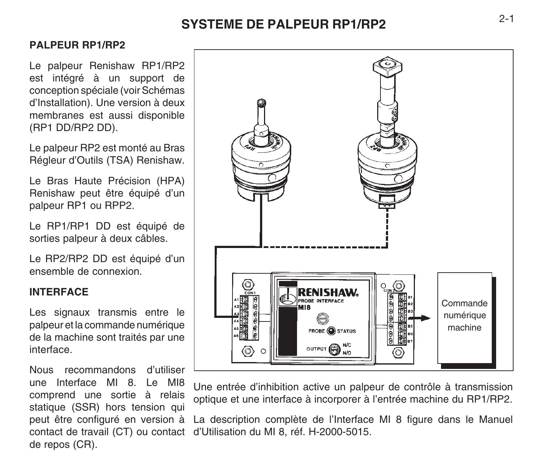# **SYSTEME DE PALPEUR RP1/RP2** 2-1

### **PALPEUR RP1/RP2**

Le palpeur Renishaw RP1/RP2 est intégré à un support de conception spéciale (voir Schémas d'Installation). Une version à deux membranes est aussi disponible (RP1 DD/RP2 DD).

Le palpeur RP2 est monté au Bras Régleur d'Outils (TSA) Renishaw.

Le Bras Haute Précision (HPA) Renishaw peut être équipé d'un palpeur RP1 ou RPP2.

Le RP1/RP1 DD est équipé de sorties palpeur à deux câbles.

Le RP2/RP2 DD est équipé d'un ensemble de connexion.

#### **INTERFACE**

Les signaux transmis entre le palpeur et la commande numérique de la machine sont traités par une interface.

Nous recommandons d'utiliser une Interface MI 8. Le MI8 comprend une sortie à relais statique (SSR) hors tension qui peut être configuré en version à de repos (CR).



Une entrée d'inhibition active un palpeur de contrôle à transmission optique et une interface à incorporer à l'entrée machine du RP1/RP2.

contact de travail (CT) ou contact d'Utilisation du MI 8, réf. H-2000-5015. La description complète de l'Interface MI 8 figure dans le Manuel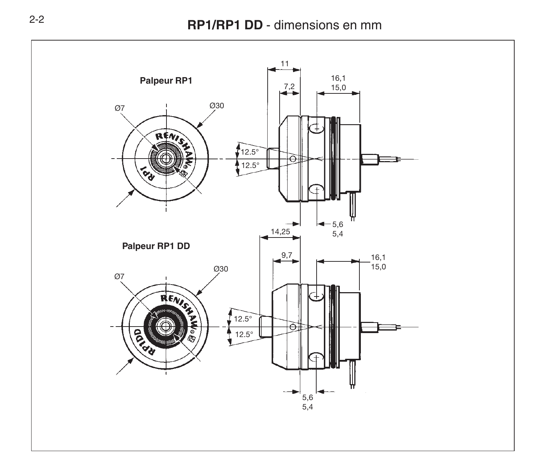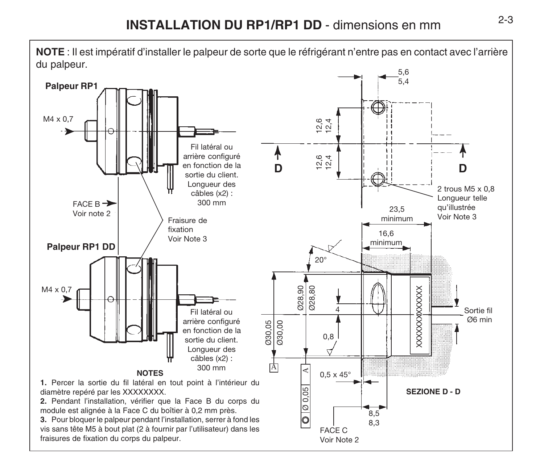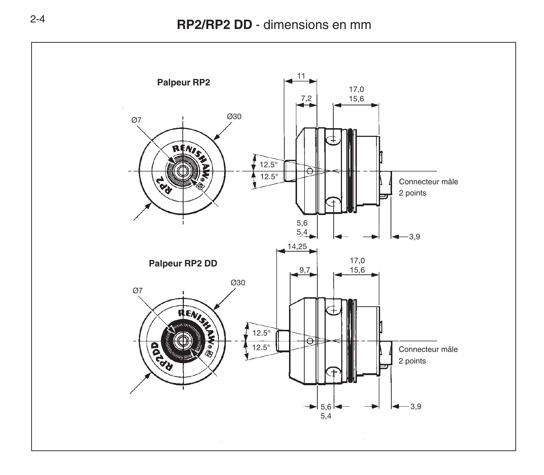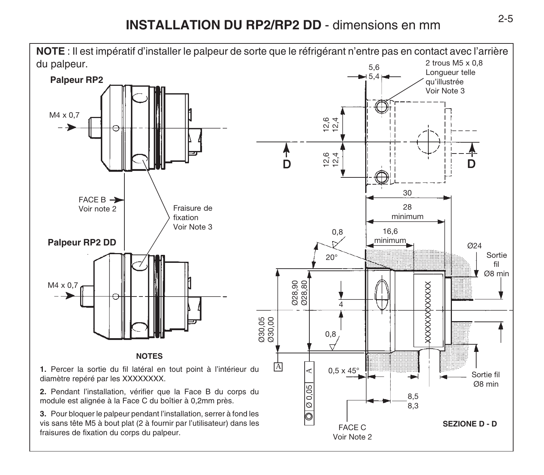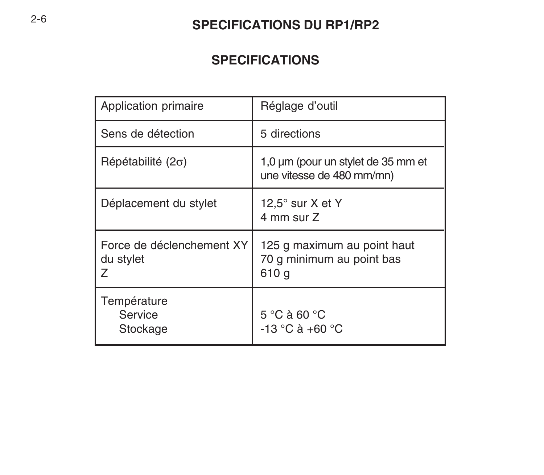# **SPECIFICATIONS DU RP1/RP2**

# **SPECIFICATIONS**

| Application primaire                        | Réglage d'outil                                                   |
|---------------------------------------------|-------------------------------------------------------------------|
| Sens de détection                           | 5 directions                                                      |
| $Répétabilité (2\sigma)$                    | 1,0 um (pour un stylet de 35 mm et<br>une vitesse de 480 mm/mn)   |
| Déplacement du stylet                       | 12,5 $^{\circ}$ sur X et Y<br>4 mm sur Z                          |
| Force de déclenchement XY<br>du stylet<br>7 | 125 g maximum au point haut<br>70 g minimum au point bas<br>610 g |
| Température<br>Service<br>Stockage          | 5 °C à 60 °C<br>$-13 °C$ à $+60 °C$                               |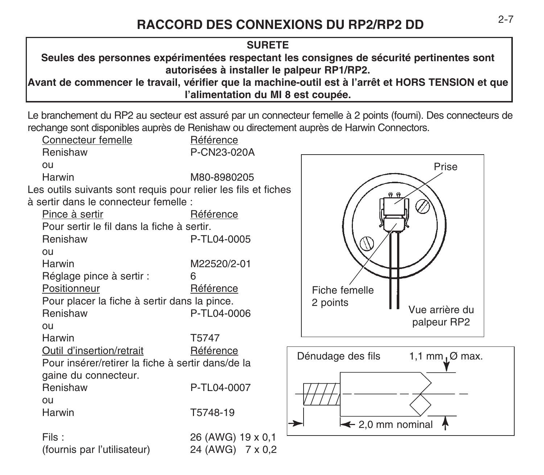## **SURETE**

**Seules des personnes expérimentées respectant les consignes de sécurité pertinentes sont autorisées à installer le palpeur RP1/RP2.**

**Avant de commencer le travail, vérifier que la machine-outil est à l'arrêt et HORS TENSION et que l'alimentation du MI 8 est coupée.**

Le branchement du RP2 au secteur est assuré par un connecteur femelle à 2 points (fourni). Des connecteurs de rechange sont disponibles auprès de Renishaw ou directement auprès de Harwin Connectors.

Connecteur femelle **Référence** Renishaw P-CN23-020A ou Harwin M80-8980205 Les outils suivants sont requis pour relier les fils et fiches à sertir dans le connecteur femelle : Pince à sertir **Référence** Pour sertir le fil dans la fiche à sertir. Renishaw P-TL04-0005 ou Harwin M22520/2-01 Réglage pince à sertir : 6 Positionneur **Référence** Pour placer la fiche à sertir dans la pince. Renishaw P-TL04-0006 ou Harwin T5747 Outil d'insertion/retrait Référence Pour insérer/retirer la fiche à sertir dans/de la gaine du connecteur. Renishaw P-TL04-0007  $011$ Harwin T5748-19 Fils : 26 (AWG) 19 x 0,1 (fournis par l'utilisateur) 24 (AWG) 7 x 0,2 Vue arrière du palpeur RP2 Prise Fiche femelle 2 points  $\leftarrow$  2,0 mm nominal Dénudage des fils ➛1,1 mm,  $\varnothing$  max.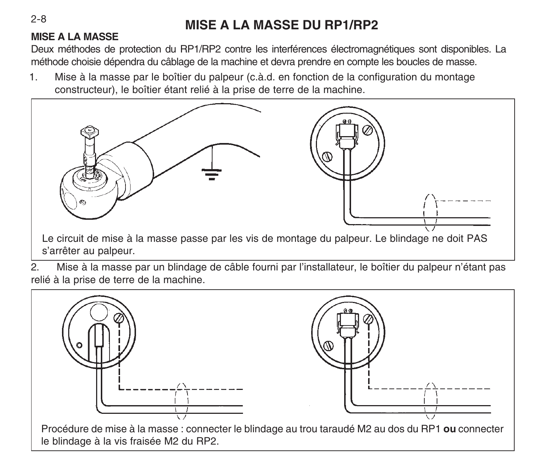# **MISE A LA MASSE DU RP1/RP2**

## **MISE A LA MASSE**

Deux méthodes de protection du RP1/RP2 contre les interférences électromagnétiques sont disponibles. La méthode choisie dépendra du câblage de la machine et devra prendre en compte les boucles de masse.

1. Mise à la masse par le boîtier du palpeur (c.à.d. en fonction de la configuration du montage constructeur), le boîtier étant relié à la prise de terre de la machine.



2. Mise à la masse par un blindage de câble fourni par l'installateur, le boîtier du palpeur n'étant pas relié à la prise de terre de la machine.



 $2 - 8$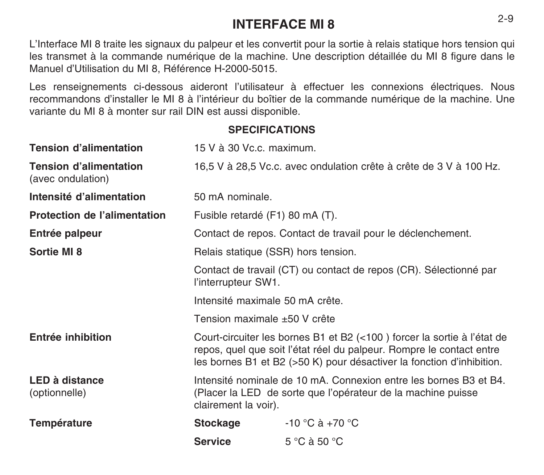# **INTERFACE MI 8** 2-9

L'Interface MI 8 traite les signaux du palpeur et les convertit pour la sortie à relais statique hors tension qui les transmet à la commande numérique de la machine. Une description détaillée du MI 8 figure dans le Manuel d'Utilisation du MI 8, Référence H-2000-5015.

Les renseignements ci-dessous aideront l'utilisateur à effectuer les connexions électriques. Nous recommandons d'installer le MI 8 à l'intérieur du boîtier de la commande numérique de la machine. Une variante du MI 8 à monter sur rail DIN est aussi disponible.

**SPECIFICATIONS**

| <b>Tension d'alimentation</b>                      | 15 V à 30 Vc.c. maximum.                                                                                                                                                                                                 |                                 |  |
|----------------------------------------------------|--------------------------------------------------------------------------------------------------------------------------------------------------------------------------------------------------------------------------|---------------------------------|--|
| <b>Tension d'alimentation</b><br>(avec ondulation) | 16.5 V à 28.5 Vc.c. avec ondulation crête à crête de 3 V à 100 Hz.                                                                                                                                                       |                                 |  |
| Intensité d'alimentation                           | 50 mA nominale.                                                                                                                                                                                                          |                                 |  |
| <b>Protection de l'alimentation</b>                | Fusible retardé (F1) 80 mA (T).                                                                                                                                                                                          |                                 |  |
| Entrée palpeur                                     | Contact de repos. Contact de travail pour le déclenchement.                                                                                                                                                              |                                 |  |
| Sortie MI 8                                        | Relais statique (SSR) hors tension.                                                                                                                                                                                      |                                 |  |
|                                                    | Contact de travail (CT) ou contact de repos (CR). Sélectionné par<br>l'interrupteur SW1.                                                                                                                                 |                                 |  |
|                                                    | Intensité maximale 50 mA crête.                                                                                                                                                                                          |                                 |  |
|                                                    | Tension maximale ±50 V crête                                                                                                                                                                                             |                                 |  |
| Entrée inhibition                                  | Court-circuiter les bornes B1 et B2 (<100) forcer la sortie à l'état de<br>repos, quel que soit l'état réel du palpeur. Rompre le contact entre<br>les bornes B1 et B2 (>50 K) pour désactiver la fonction d'inhibition. |                                 |  |
| LED à distance<br>(optionnelle)                    | Intensité nominale de 10 mA. Connexion entre les bornes B3 et B4.<br>(Placer la LED de sorte que l'opérateur de la machine puisse<br>clairement la voir).                                                                |                                 |  |
| Température                                        | Stockage                                                                                                                                                                                                                 | $-10$ °C à $+70$ °C             |  |
|                                                    | <b>Service</b>                                                                                                                                                                                                           | $5^{\circ}$ C à 50 $^{\circ}$ C |  |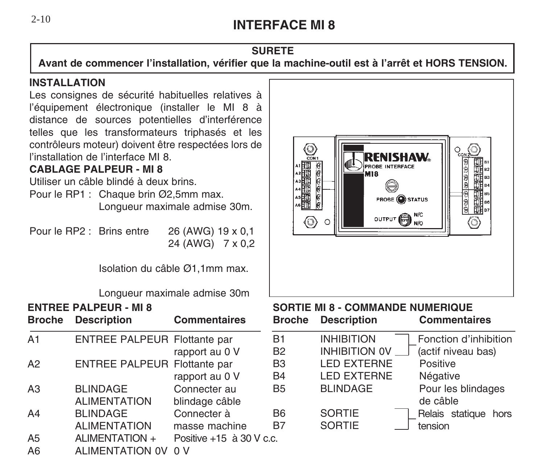# **INTERFACE MI 8**

#### **SURETE**

**Avant de commencer l'installation, vérifier que la machine-outil est à l'arrêt et HORS TENSION.**

#### I**NSTALLATION**

Les consignes de sécurité habituelles relatives à l'équipement électronique (installer le MI 8 à distance de sources potentielles d'interférence telles que les transformateurs triphasés et les contrôleurs moteur) doivent être respectées lors de l'installation de l'interface MI 8.

#### **CABLAGE PALPEUR - MI 8**

Utiliser un câble blindé à deux brins.

Pour le RP1 : Chaque brin Ø2,5mm max. Longueur maximale admise 30m.

Pour le RP2 : Brins entre 26 (AWG) 19 x 0,1 24 (AWG) 7 x 0,2

Isolation du câble Ø1,1mm max.

Longueur maximale admise 30m

| Broche         | <b>ENTREE PALPEUR - MI 8</b><br><b>Description</b> | s<br><b>Commentaires</b><br>Е |
|----------------|----------------------------------------------------|-------------------------------|
|                |                                                    |                               |
| A <sub>1</sub> | ENTREE PALPEUR Flottante par                       | F                             |
|                |                                                    | E<br>rapport au 0 V           |
| A2             | <b>ENTREE PALPEUR Flottante par</b>                | E                             |
|                |                                                    | rapport au 0 V<br>E           |
| A <sub>3</sub> | <b>BLINDAGE</b>                                    | F<br>Connecter au             |
|                | <b>ALIMENTATION</b>                                | blindage câble                |
| A4             | <b>BLINDAGE</b>                                    | Connecter à<br>E              |
|                | <b>ALIMENTATION</b>                                | E<br>masse machine            |
| A <sub>5</sub> | ALIMENTATION +                                     | Positive +15 à 30 V c.c.      |
| A <sub>6</sub> | <b>ALIMENTATION OV</b>                             | 0 <sub>V</sub>                |

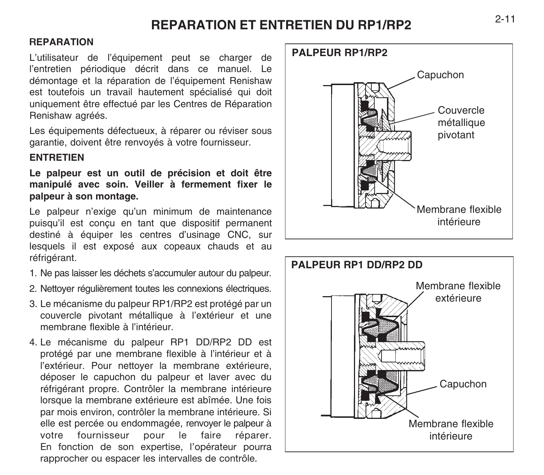# **REPARATION ET ENTRETIEN DU RP1/RP2**

#### R**EPARATION**

L'utilisateur de l'équipement peut se charger de l'entretien périodique décrit dans ce manuel. Le démontage et la réparation de l'équipement Renishaw est toutefois un travail hautement spécialisé qui doit uniquement être effectué par les Centres de Réparation Renishaw agréés.

Les équipements défectueux, à réparer ou réviser sous garantie, doivent être renvoyés à votre fournisseur.

#### **ENTRETIEN**

**Le palpeur est un outil de précision et doit être manipulé avec soin. Veiller à fermement fixer le palpeur à son montage.**

Le palpeur n'exige qu'un minimum de maintenance puisqu'il est conçu en tant que dispositif permanent destiné à équiper les centres d'usinage CNC, sur lesquels il est exposé aux copeaux chauds et au réfrigérant.

- 1. Ne pas laisser les déchets s'accumuler autour du palpeur.
- 2. Nettoyer régulièrement toutes les connexions électriques.
- 3. Le mécanisme du palpeur RP1/RP2 est protégé par un couvercle pivotant métallique à l'extérieur et une membrane flexible à l'intérieur.
- 4. Le mécanisme du palpeur RP1 DD/RP2 DD est protégé par une membrane flexible à l'intérieur et à l'extérieur. Pour nettoyer la membrane extérieure, déposer le capuchon du palpeur et laver avec du réfrigérant propre. Contrôler la membrane intérieure lorsque la membrane extérieure est abîmée. Une fois par mois environ, contrôler la membrane intérieure. Si elle est percée ou endommagée, renvoyer le palpeur à votre fournisseur pour le faire réparer. En fonction de son expertise, l'opérateur pourra rapprocher ou espacer les intervalles de contrôle.



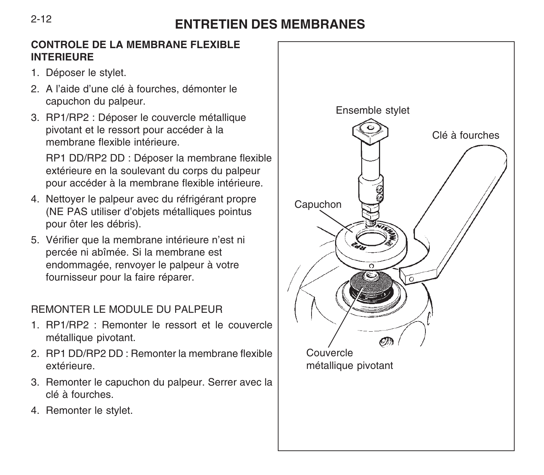# **ENTRETIEN DES MEMBRANES**

#### **CONTROLE DE LA MEMBRANE FLEXIBLE INTERIEURE**

- 1. Déposer le stylet.
- 2. A l'aide d'une clé à fourches, démonter le capuchon du palpeur.
- 3. RP1/RP2 : Déposer le couvercle métallique pivotant et le ressort pour accéder à la membrane flexible intérieure.

RP1 DD/RP2 DD : Déposer la membrane flexible extérieure en la soulevant du corps du palpeur pour accéder à la membrane flexible intérieure.

- 4. Nettoyer le palpeur avec du réfrigérant propre (NE PAS utiliser d'objets métalliques pointus pour ôter les débris).
- 5. Vérifier que la membrane intérieure n'est ni percée ni abîmée. Si la membrane est endommagée, renvoyer le palpeur à votre fournisseur pour la faire réparer.

# REMONTER LE MODULE DU PALPEUR

- 1. RP1/RP2 : Remonter le ressort et le couvercle métallique pivotant.
- 2. RP1 DD/RP2 DD : Remonter la membrane flexible extérieure.
- 3. Remonter le capuchon du palpeur. Serrer avec la clé à fourches.
- 4. Remonter le stylet.

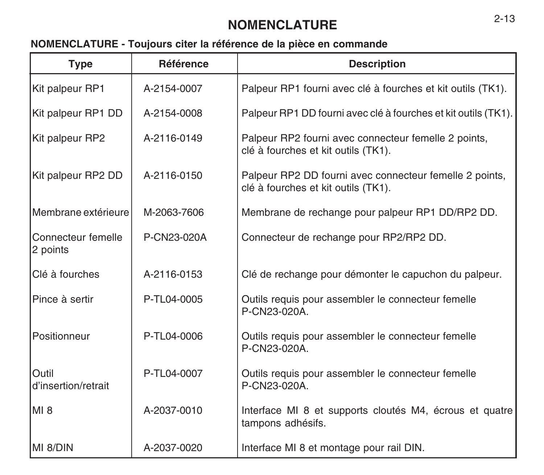# **NOMENCLATURE** 2-13

# **NOMENCLATURE - Toujours citer la référence de la pièce en commande**

| <b>Type</b>                    | <b>Référence</b> | <b>Description</b>                                                                             |
|--------------------------------|------------------|------------------------------------------------------------------------------------------------|
| Kit palpeur RP1                | A-2154-0007      | Palpeur RP1 fourni avec clé à fourches et kit outils (TK1).                                    |
| Kit palpeur RP1 DD             | A-2154-0008      | Palpeur RP1 DD fourni avec clé à fourches et kit outils (TK1).                                 |
| Kit palpeur RP2                | A-2116-0149      | Palpeur RP2 fourni avec connecteur femelle 2 points,<br>clé à fourches et kit outils (TK1).    |
| Kit palpeur RP2 DD             | A-2116-0150      | Palpeur RP2 DD fourni avec connecteur femelle 2 points,<br>clé à fourches et kit outils (TK1). |
| Membrane extérieure            | M-2063-7606      | Membrane de rechange pour palpeur RP1 DD/RP2 DD.                                               |
| Connecteur femelle<br>2 points | P-CN23-020A      | Connecteur de rechange pour RP2/RP2 DD.                                                        |
| Clé à fourches                 | A-2116-0153      | Clé de rechange pour démonter le capuchon du palpeur.                                          |
| Pince à sertir                 | P-TL04-0005      | Outils requis pour assembler le connecteur femelle<br>P-CN23-020A.                             |
| Positionneur                   | P-TL04-0006      | Outils requis pour assembler le connecteur femelle<br>P-CN23-020A.                             |
| Outil<br>d'insertion/retrait   | P-TL04-0007      | Outils requis pour assembler le connecteur femelle<br>P-CN23-020A.                             |
| MI <sub>8</sub>                | A-2037-0010      | Interface MI 8 et supports cloutés M4, écrous et quatre<br>tampons adhésifs.                   |
| MI 8/DIN                       | A-2037-0020      | Interface MI 8 et montage pour rail DIN.                                                       |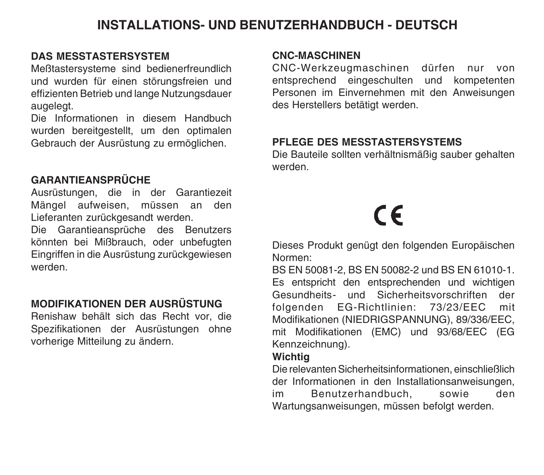# **INSTALLATIONS- UND BENUTZERHANDBUCH - DEUTSCH**

## **DAS MESSTASTERSYSTEM**

Meßtastersysteme sind bedienerfreundlich und wurden für einen störungsfreien und effizienten Betrieb und lange Nutzungsdauer augelegt.

Die Informationen in diesem Handbuch wurden bereitgestellt, um den optimalen Gebrauch der Ausrüstung zu ermöglichen.

## **GARANTIEANSPRÜCHE**

Ausrüstungen, die in der Garantiezeit Mängel aufweisen, müssen an den Lieferanten zurückgesandt werden.

Die Garantieansprüche des Benutzers könnten bei Mißbrauch, oder unbefugten Eingriffen in die Ausrüstung zurückgewiesen werden.

## **MODIFIKATIONEN DER AUSRÜSTUNG**

Renishaw behält sich das Recht vor, die Spezifikationen der Ausrüstungen ohne vorherige Mitteilung zu ändern.

#### **CNC-MASCHINEN**

CNC-Werkzeugmaschinen dürfen nur von entsprechend eingeschulten und kompetenten Personen im Einvernehmen mit den Anweisungen des Herstellers betätigt werden.

#### **PFLEGE DES MESSTASTERSYSTEMS**

Die Bauteile sollten verhältnismäßig sauber gehalten werden.

# $\epsilon$

Dieses Produkt genügt den folgenden Europäischen Normen:

BS EN 50081-2, BS EN 50082-2 und BS EN 61010-1. Es entspricht den entsprechenden und wichtigen Gesundheits- und Sicherheitsvorschriften der folgenden EG-Richtlinien: 73/23/EEC mit Modifikationen (NIEDRIGSPANNUNG), 89/336/EEC, mit Modifikationen (EMC) und 93/68/EEC (EG Kennzeichnung).

## **Wichtig**

Die relevanten Sicherheitsinformationen, einschließlich der Informationen in den Installationsanweisungen, im Benutzerhandbuch, sowie den Wartungsanweisungen, müssen befolgt werden.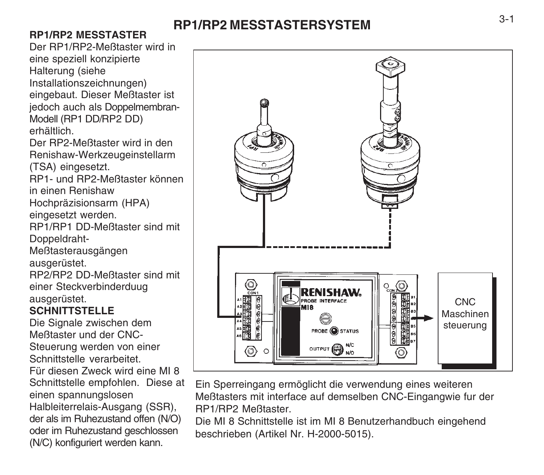# **RP1/RP2 MESSTASTERSYSTEM**

# **RP1/RP2 MESSTASTER**

Der RP1/RP2-Meßtaster wird in eine speziell konzipierte Halterung (siehe Installationszeichnungen) eingebaut. Dieser Meßtaster ist jedoch auch als Doppelmembran-Modell (RP1 DD/RP2 DD) erhältlich.

Der RP2-Meßtaster wird in den Renishaw-Werkzeugeinstellarm (TSA) eingesetzt.

RP1- und RP2-Meßtaster können in einen Renishaw Hochpräzisionsarm (HPA)

eingesetzt werden.

RP1/RP1 DD-Meßtaster sind mit Doppeldraht-

Meßtasterausgängen

ausgerüstet.

RP2/RP2 DD-Meßtaster sind mit einer Steckverbinderduug ausgerüstet.

# **SCHNITTSTELLE**

Die Signale zwischen dem Meßtaster und der CNC-Steuerung werden von einer Schnittstelle verarbeitet. Für diesen Zweck wird eine MI 8 Schnittstelle empfohlen. Diese at einen spannungslosen Halbleiterrelais-Ausgang (SSR), der als im Ruhezustand offen (N/O) oder im Ruhezustand geschlossen (N/C) konfiguriert werden kann.



Ein Sperreingang ermöglicht die verwendung eines weiteren Meßtasters mit interface auf demselben CNC-Eingangwie fur der RP1/RP2 Meßtaster.

Die MI 8 Schnittstelle ist im MI 8 Benutzerhandbuch eingehend beschrieben (Artikel Nr. H-2000-5015).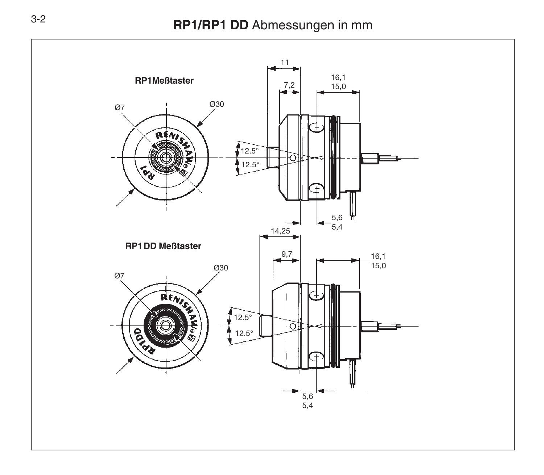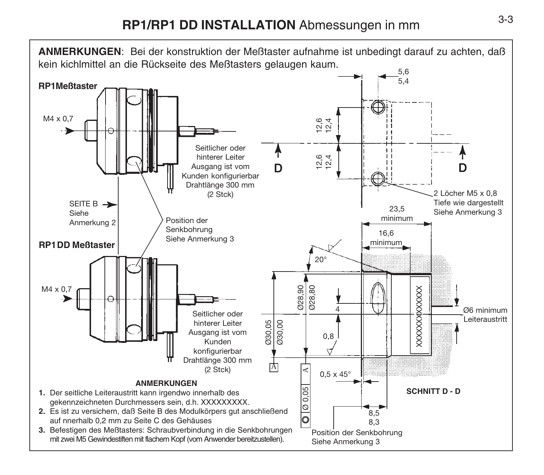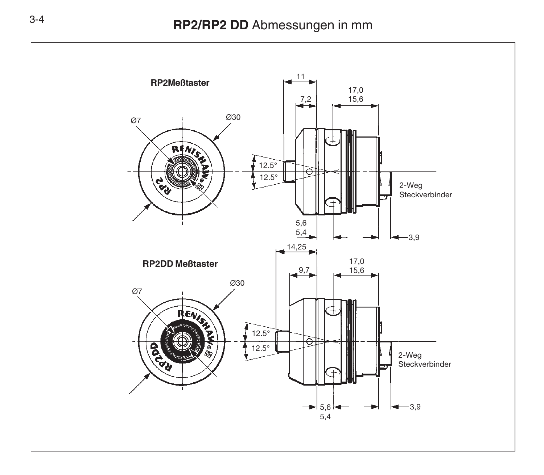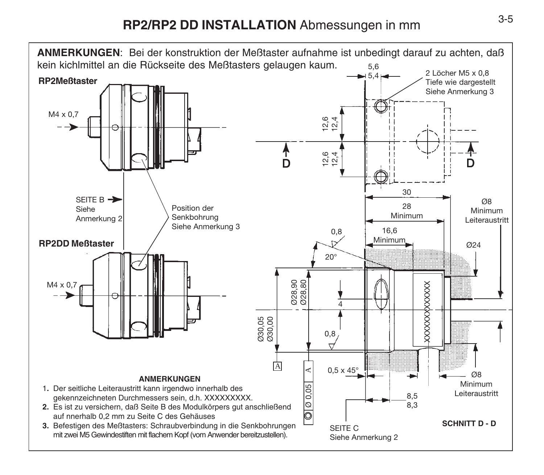# 3-5 **RP2/RP2 DD INSTALLATION** Abmessungen in mm

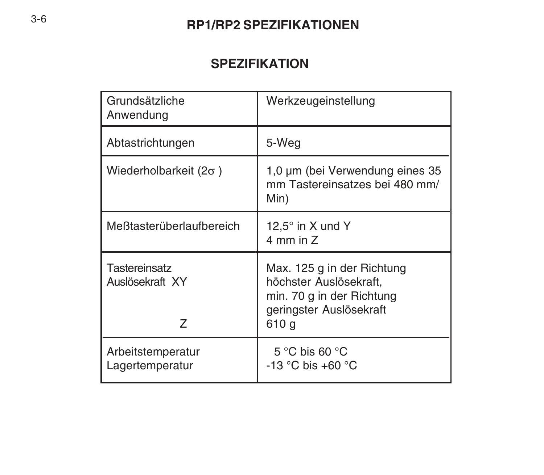# **RP1/RP2 SPEZIFIKATIONEN**

# **SPEZIFIKATION**

| Grundsätzliche<br>Anwendung           | Werkzeugeinstellung                                                                                                   |
|---------------------------------------|-----------------------------------------------------------------------------------------------------------------------|
| Abtastrichtungen                      | 5-Weg                                                                                                                 |
| Wiederholbarkeit ( $2\sigma$ )        | 1,0 µm (bei Verwendung eines 35<br>mm Tastereinsatzes bei 480 mm/<br>Min)                                             |
| Meßtasterüberlaufbereich              | 12,5 $^{\circ}$ in X und Y<br>4 mm in Z                                                                               |
| Tastereinsatz<br>Auslösekraft XY<br>7 | Max. 125 g in der Richtung<br>höchster Auslösekraft,<br>min. 70 g in der Richtung<br>geringster Auslösekraft<br>610 g |
| Arbeitstemperatur<br>Lagertemperatur  | 5 °C bis 60 °C<br>$-13$ °C bis +60 °C                                                                                 |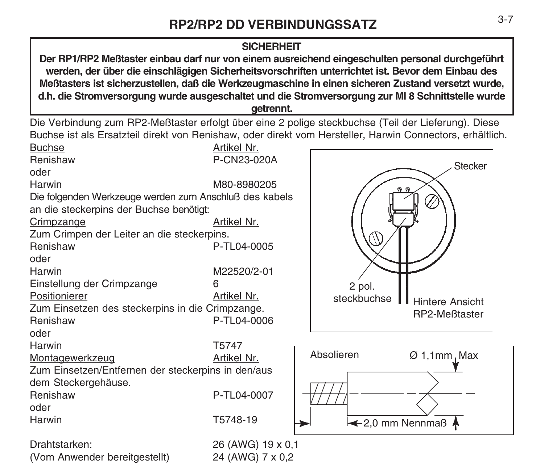## **SICHERHEIT**

**Der RP1/RP2 Meßtaster einbau darf nur von einem ausreichend eingeschulten personal durchgeführt werden, der über die einschlägigen Sicherheitsvorschriften unterrichtet ist. Bevor dem Einbau des Meßtasters ist sicherzustellen, daß die Werkzeugmaschine in einen sicheren Zustand versetzt wurde, d.h. die Stromversorgung wurde ausgeschaltet und die Stromversorgung zur MI 8 Schnittstelle wurde getrennt.**

Die Verbindung zum RP2-Meßtaster erfolgt über eine 2 polige steckbuchse (Teil der Lieferung). Diese Buchse ist als Ersatzteil direkt von Renishaw, oder direkt vom Hersteller, Harwin Connectors, erhältlich.

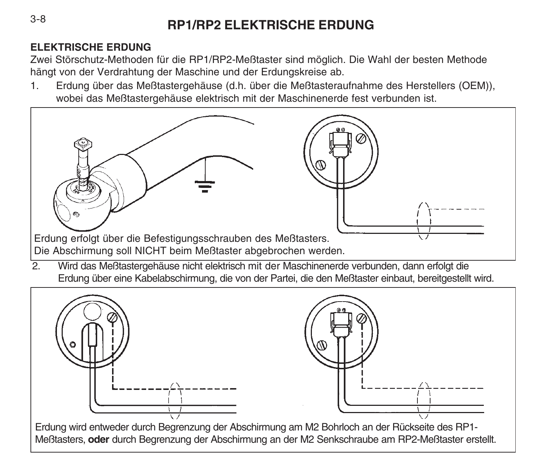# **RP1/RP2 ELEKTRISCHE ERDUNG**

# **ELEKTRISCHE ERDUNG**

Zwei Störschutz-Methoden für die RP1/RP2-Meßtaster sind möglich. Die Wahl der besten Methode hängt von der Verdrahtung der Maschine und der Erdungskreise ab.

1. Erdung über das Meßtastergehäuse (d.h. über die Meßtasteraufnahme des Herstellers (OEM)), wobei das Meßtastergehäuse elektrisch mit der Maschinenerde fest verbunden ist.



Erdung über eine Kabelabschirmung, die von der Partei, die den Meßtaster einbaut, bereitgestellt wird.



3-8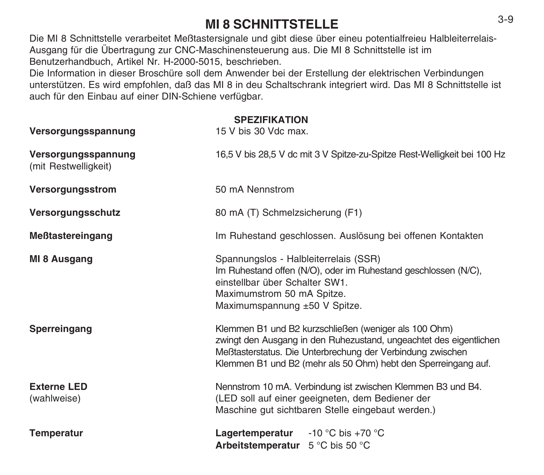# **MI 8 SCHNITTSTELLE**

Die MI 8 Schnittstelle verarbeitet Meßtastersignale und gibt diese über eineu potentialfreieu Halbleiterrelais-Ausgang für die Übertragung zur CNC-Maschinensteuerung aus. Die MI 8 Schnittstelle ist im Benutzerhandbuch, Artikel Nr. H-2000-5015, beschrieben.

Die Information in dieser Broschüre soll dem Anwender bei der Erstellung der elektrischen Verbindungen unterstützen. Es wird empfohlen, daß das MI 8 in deu Schaltschrank integriert wird. Das MI 8 Schnittstelle ist auch für den Einbau auf einer DIN-Schiene verfügbar.

# **SPEZIFIKATION**

| Versorgungsspannung                         | 15 V bis 30 Vdc max.                                                                                                                                                                                                                                        |  |
|---------------------------------------------|-------------------------------------------------------------------------------------------------------------------------------------------------------------------------------------------------------------------------------------------------------------|--|
| Versorgungsspannung<br>(mit Restwelligkeit) | 16.5 V bis 28.5 V dc mit 3 V Spitze-zu-Spitze Rest-Welligkeit bei 100 Hz                                                                                                                                                                                    |  |
| Versorgungsstrom                            | 50 mA Nennstrom                                                                                                                                                                                                                                             |  |
| Versorgungsschutz                           | 80 mA (T) Schmelzsicherung (F1)                                                                                                                                                                                                                             |  |
| Meßtastereingang                            | Im Ruhestand geschlossen. Auslösung bei offenen Kontakten                                                                                                                                                                                                   |  |
| MI 8 Ausgang                                | Spannungslos - Halbleiterrelais (SSR)<br>Im Ruhestand offen (N/O), oder im Ruhestand geschlossen (N/C),<br>einstellbar über Schalter SW1.<br>Maximumstrom 50 mA Spitze.<br>Maximumspannung ±50 V Spitze.                                                    |  |
| Sperreingang                                | Klemmen B1 und B2 kurzschließen (weniger als 100 Ohm)<br>zwingt den Ausgang in den Ruhezustand, ungeachtet des eigentlichen<br>Meßtasterstatus. Die Unterbrechung der Verbindung zwischen<br>Klemmen B1 und B2 (mehr als 50 Ohm) hebt den Sperreingang auf. |  |
| <b>Externe LED</b><br>(wahlweise)           | Nennstrom 10 mA. Verbindung ist zwischen Klemmen B3 und B4.<br>(LED soll auf einer geeigneten, dem Bediener der<br>Maschine gut sichtbaren Stelle eingebaut werden.)                                                                                        |  |
| <b>Temperatur</b>                           | <b>Lagertemperatur</b> -10 °C bis +70 °C<br>Arbeitstemperatur 5 °C bis 50 °C                                                                                                                                                                                |  |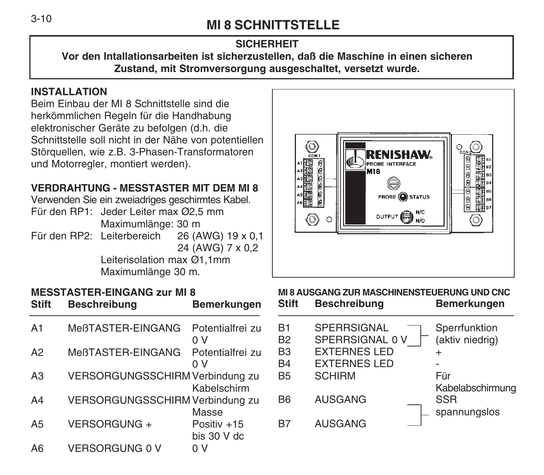# **MI 8 SCHNITTSTELLE** 3-10

# **SICHERHEIT**

**Vor den Intallationsarbeiten ist sicherzustellen, daß die Maschine in einen sicheren Zustand, mit Stromversorgung ausgeschaltet, versetzt wurde.**

## **INSTALLATION**

Beim Einbau der MI 8 Schnittstelle sind die herkömmlichen Regeln für die Handhabung elektronischer Geräte zu befolgen (d.h. die Schnittstelle soll nicht in der Nähe von potentiellen Störquellen, wie z.B. 3-Phasen-Transformatoren und Motorregler, montiert werden).

# **VERDRAHTUNG - MESSTASTER MIT DEM MI 8**

Verwenden Sie ein zweiadriges geschirmtes Kabel.

- Für den RP1: Jeder Leiter max Ø2,5 mm Maximumlänge: 30 m
- Für den RP2: Leiterbereich 26 (AWG) 19 x 0,1 24 (AWG) 7 x 0,2 Leiterisolation max Ø1,1mm

Maximumlänge 30 m.

#### **MESSTASTER-EINGANG zur MI 8 Stift Beschreibung Bemerkungen**

| A <sub>1</sub> | MeßTASTER-EINGANG               | Potentialfrei zu<br>0 V     |
|----------------|---------------------------------|-----------------------------|
| A2             | MeßTASTER-EINGANG               | Potentialfrei zu<br>0 V     |
| A3             | VERSORGUNGSSCHIRM Verbindung zu | Kabelschirm                 |
| A4             | VERSORGUNGSSCHIRM Verbindung zu | Masse                       |
| A <sub>5</sub> | VERSORGUNG +                    | Positiv +15<br>bis $30V$ dc |
| A6             | <b>VERSORGUNG 0 V</b>           | n V                         |



#### **MI 8 AUSGANG ZUR MASCHINENSTEUERUNG UND CNC Stift Beschreibung Bemerkungen**

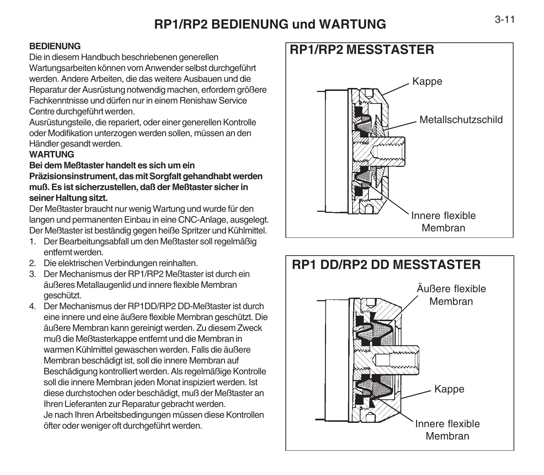# **RP1/RP2 BEDIENUNG und WARTUNG**

#### **BEDIENUNG**

Die in diesem Handbuch beschriebenen generellen

Wartungsarbeiten können vom Anwender selbst durchgeführt werden. Andere Arbeiten, die das weitere Ausbauen und die Reparatur der Ausrüstung notwendig machen, erfordern größere Fachkenntnisse und dürfen nur in einem Renishaw Service Centre durchgeführt werden.

Ausrüstungsteile, die repariert, oder einer generellen Kontrolle oder Modifikation unterzogen werden sollen, müssen an den Händler gesandt werden.

#### **WARTUNG**

#### **Bei dem Meßtaster handelt es sich um ein**

**Präzisionsinstrument, das mit Sorgfalt gehandhabt werden muß. Es ist sicherzustellen, daß der Meßtaster sicher in seiner Haltung sitzt.**

Der Meßtaster braucht nur wenig Wartung und wurde für den langen und permanenten Einbau in eine CNC-Anlage, ausgelegt. Der Meßtaster ist beständig gegen heiße Spritzer und Kühlmittel.

- 1. Der Bearbeitungsabfall um den Meßtaster soll regelmäßig entfernt werden.
- 2. Die elektrischen Verbindungen reinhalten.
- 3. Der Mechanismus der RP1/RP2 Meßtaster ist durch ein äußeres Metallaugenlid und innere flexible Membran geschützt.
- 4. Der Mechanismus der RP1DD/RP2 DD-Meßtaster ist durch eine innere und eine äußere flexible Membran geschützt. Die äußere Membran kann gereinigt werden. Zu diesem Zweck muß die Meßtasterkappe entfernt und die Membran in warmen Kühlmittel gewaschen werden. Falls die äußere Membran beschädigt ist, soll die innere Membran auf Beschädigung kontrolliert werden. Als regelmäßige Kontrolle soll die innere Membran jeden Monat inspiziert werden. Ist diese durchstochen oder beschädigt, muß der Meßtaster an Ihren Lieferanten zur Reparatur gebracht werden. Je nach Ihren Arbeitsbedingungen müssen diese Kontrollen öfter oder weniger oft durchgeführt werden.



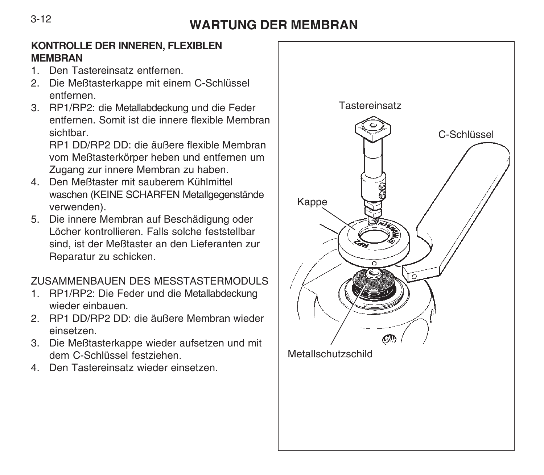# **WARTUNG DER MEMBRAN**

## **KONTROLLE DER INNEREN, FLEXIBLEN MEMBRAN**

- 1. Den Tastereinsatz entfernen.
- 2. Die Meßtasterkappe mit einem C-Schlüssel entfernen.
- 3. RP1/RP2: die Metallabdeckung und die Feder entfernen. Somit ist die innere flexible Membran sichtbar

RP1 DD/RP2 DD: die äußere flexible Membran vom Meßtasterkörper heben und entfernen um Zugang zur innere Membran zu haben.

- 4. Den Meßtaster mit sauberem Kühlmittel waschen (KEINE SCHARFEN Metallgegenstände verwenden).
- 5. Die innere Membran auf Beschädigung oder Löcher kontrollieren. Falls solche feststellbar sind, ist der Meßtaster an den Lieferanten zur Reparatur zu schicken.

# ZUSAMMENBAUEN DES MESSTASTERMODULS

- 1. RP1/RP2: Die Feder und die Metallabdeckung wieder einbauen.
- 2. RP1 DD/RP2 DD: die äußere Membran wieder einsetzen.
- 3. Die Meßtasterkappe wieder aufsetzen und mit dem C-Schlüssel festziehen.
- 4. Den Tastereinsatz wieder einsetzen.



3-12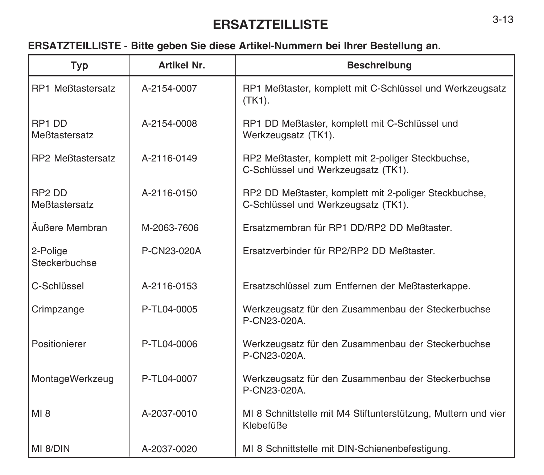# **ERSATZTEILLISTE**

# **ERSATZTEILLISTE** - **Bitte geben Sie diese Artikel-Nummern bei Ihrer Bestellung an.**

| Typ                                 | Artikel Nr. | <b>Beschreibung</b>                                                                          |
|-------------------------------------|-------------|----------------------------------------------------------------------------------------------|
| <b>RP1 Meßtastersatz</b>            | A-2154-0007 | RP1 Meßtaster, komplett mit C-Schlüssel und Werkzeugsatz<br>$(TK1)$ .                        |
| RP1 DD<br>Meßtastersatz             | A-2154-0008 | RP1 DD Meßtaster, komplett mit C-Schlüssel und<br>Werkzeugsatz (TK1).                        |
| <b>RP2 Meßtastersatz</b>            | A-2116-0149 | RP2 Meßtaster, komplett mit 2-poliger Steckbuchse,<br>C-Schlüssel und Werkzeugsatz (TK1).    |
| RP <sub>2</sub> DD<br>Meßtastersatz | A-2116-0150 | RP2 DD Meßtaster, komplett mit 2-poliger Steckbuchse,<br>C-Schlüssel und Werkzeugsatz (TK1). |
| Äußere Membran                      | M-2063-7606 | Ersatzmembran für RP1 DD/RP2 DD Meßtaster.                                                   |
| 2-Polige<br>Steckerbuchse           | P-CN23-020A | Ersatzverbinder für RP2/RP2 DD Meßtaster.                                                    |
| C-Schlüssel                         | A-2116-0153 | Ersatzschlüssel zum Entfernen der Meßtasterkappe.                                            |
| Crimpzange                          | P-TL04-0005 | Werkzeugsatz für den Zusammenbau der Steckerbuchse<br>P-CN23-020A.                           |
| Positionierer                       | P-TL04-0006 | Werkzeugsatz für den Zusammenbau der Steckerbuchse<br>P-CN23-020A.                           |
| MontageWerkzeug                     | P-TL04-0007 | Werkzeugsatz für den Zusammenbau der Steckerbuchse<br>P-CN23-020A.                           |
| MI 8                                | A-2037-0010 | MI 8 Schnittstelle mit M4 Stiftunterstützung, Muttern und vier<br>Klebefüße                  |
| MI 8/DIN                            | A-2037-0020 | MI 8 Schnittstelle mit DIN-Schienenbefestigung.                                              |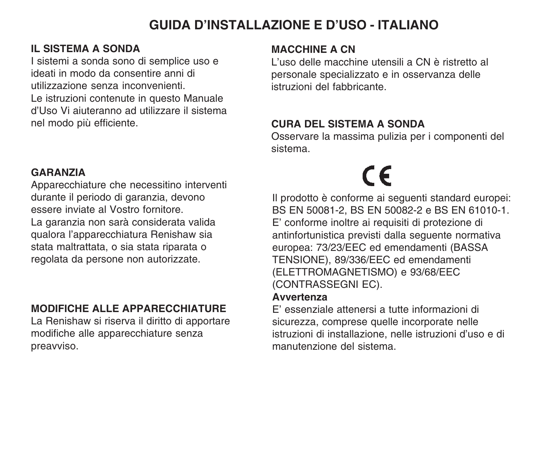# **GUIDA D'INSTALLAZIONE E D'USO - ITALIANO**

## **IL SISTEMA A SONDA**

I sistemi a sonda sono di semplice uso e ideati in modo da consentire anni di utilizzazione senza inconvenienti. Le istruzioni contenute in questo Manuale d'Uso Vi aiuteranno ad utilizzare il sistema nel modo più efficiente.

#### **GARANZIA**

Apparecchiature che necessitino interventi durante il periodo di garanzia, devono essere inviate al Vostro fornitore. La garanzia non sarà considerata valida qualora l'apparecchiatura Renishaw sia stata maltrattata, o sia stata riparata o regolata da persone non autorizzate.

# **MODIFICHE ALLE APPARECCHIATURE**

La Renishaw si riserva il diritto di apportare modifiche alle apparecchiature senza preavviso.

### **MACCHINE A CN**

L'uso delle macchine utensili a CN è ristretto al personale specializzato e in osservanza delle istruzioni del fabbricante.

# **CURA DEL SISTEMA A SONDA**

Osservare la massima pulizia per i componenti del sistema.

# $\epsilon$

Il prodotto è conforme ai seguenti standard europei: BS EN 50081-2, BS EN 50082-2 e BS EN 61010-1. E' conforme inoltre ai requisiti di protezione di antinfortunistica previsti dalla seguente normativa europea: 73/23/EEC ed emendamenti (BASSA TENSIONE), 89/336/EEC ed emendamenti (ELETTROMAGNETISMO) e 93/68/EEC (CONTRASSEGNI EC).

# **Avvertenza**

E' essenziale attenersi a tutte informazioni di sicurezza, comprese quelle incorporate nelle istruzioni di installazione, nelle istruzioni d'uso e di manutenzione del sistema.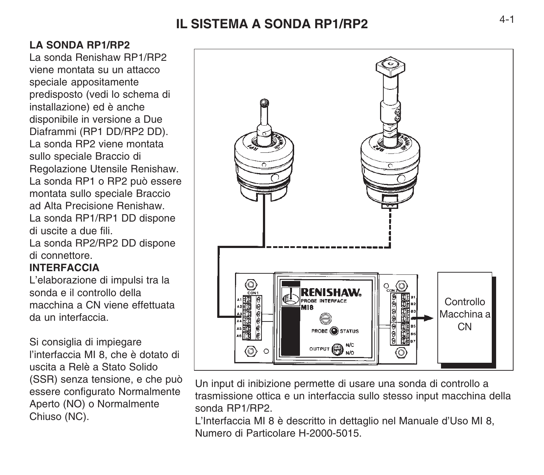# **IL SISTEMA A SONDA RP1/RP2**

# **LA SONDA RP1/RP2**

La sonda Renishaw RP1/RP2 viene montata su un attacco speciale appositamente predisposto (vedi lo schema di installazione) ed è anche disponibile in versione a Due Diaframmi (RP1 DD/RP2 DD). La sonda RP2 viene montata sullo speciale Braccio di Regolazione Utensile Renishaw. La sonda RP1 o RP2 può essere montata sullo speciale Braccio ad Alta Precisione Renishaw. La sonda RP1/RP1 DD dispone di uscite a due fili. La sonda RP2/RP2 DD dispone

di connettore.

## **INTERFACCIA**

L'elaborazione di impulsi tra la sonda e il controllo della macchina a CN viene effettuata da un interfaccia.

Si consiglia di impiegare l'interfaccia MI 8, che è dotato di uscita a Relè a Stato Solido (SSR) senza tensione, e che può essere configurato Normalmente Aperto (NO) o Normalmente Chiuso (NC).



Un input di inibizione permette di usare una sonda di controllo a trasmissione ottica e un interfaccia sullo stesso input macchina della sonda RP1/RP2.

L'Interfaccia MI 8 è descritto in dettaglio nel Manuale d'Uso MI 8, Numero di Particolare H-2000-5015.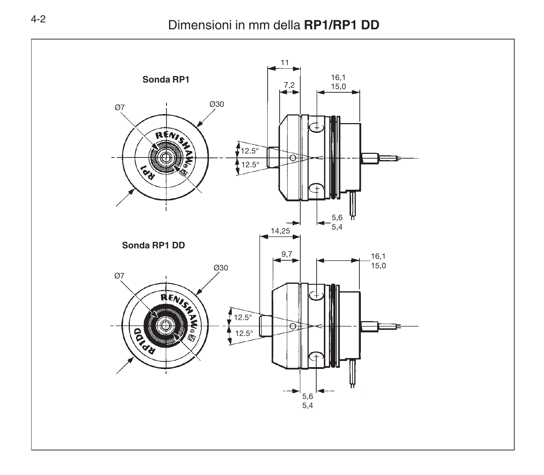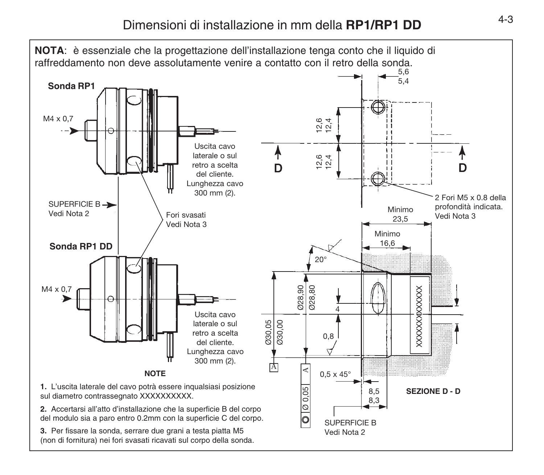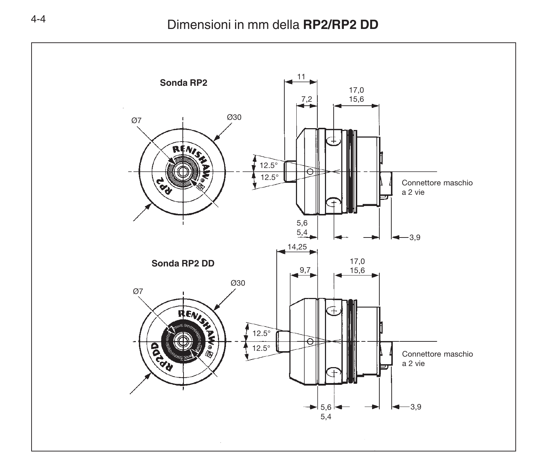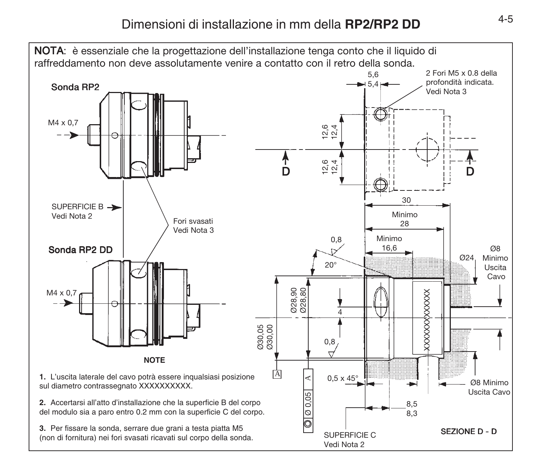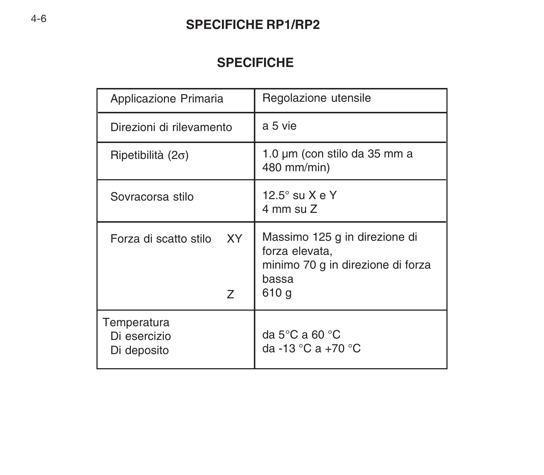# **SPECIFICHE RP1/RP2**

# **SPECIFICHE**

| Applicazione Primaria                      | Regolazione utensile                                                                                   |
|--------------------------------------------|--------------------------------------------------------------------------------------------------------|
| Direzioni di rilevamento                   | a 5 vie                                                                                                |
| Ripetibilità (2 $\sigma$ )                 | 1.0 µm (con stilo da 35 mm a<br>480 mm/min)                                                            |
| Sovracorsa stilo                           | 12.5° su X e Y<br>$4 \text{ mm}$ su $Z$                                                                |
| <b>XY</b><br>Forza di scatto stilo<br>Z    | Massimo 125 g in direzione di<br>forza elevata,<br>minimo 70 g in direzione di forza<br>bassa<br>610 g |
| Temperatura<br>Di esercizio<br>Di deposito | da 5 $\mathrm{^{\circ}C}$ a 60 $\mathrm{^{\circ}C}$<br>da -13 °C a +70 °C                              |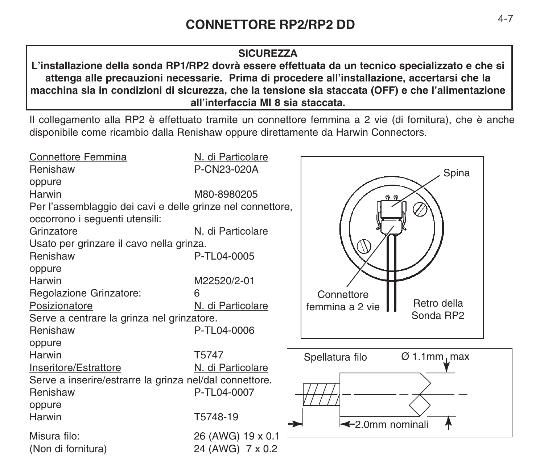#### **SICUREZZA**

**L'installazione della sonda RP1/RP2 dovrà essere effettuata da un tecnico specializzato e che si attenga alle precauzioni necessarie. Prima di procedere all'installazione, accertarsi che la macchina sia in condizioni di sicurezza, che la tensione sia staccata (OFF) e che l'alimentazione all'interfaccia MI 8 sia staccata.**

Il collegamento alla RP2 è effettuato tramite un connettore femmina a 2 vie (di fornitura), che è anche disponibile come ricambio dalla Renishaw oppure direttamente da Harwin Connectors.

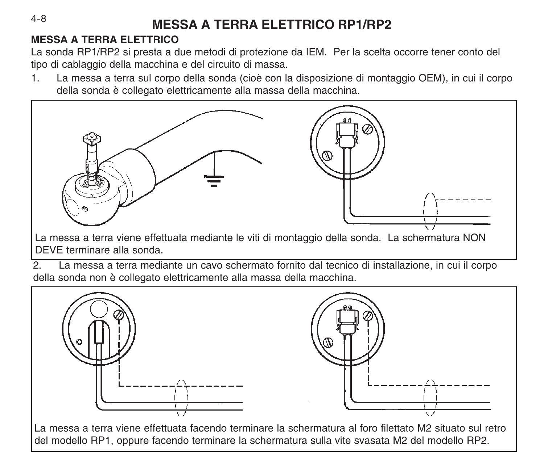# **MESSA A TERRA ELETTRICO RP1/RP2**

# **MESSA A TERRA ELETTRICO**

La sonda RP1/RP2 si presta a due metodi di protezione da IEM. Per la scelta occorre tener conto del tipo di cablaggio della macchina e del circuito di massa.

1. La messa a terra sul corpo della sonda (cioè con la disposizione di montaggio OEM), in cui il corpo della sonda è collegato elettricamente alla massa della macchina.



La messa a terra viene effettuata mediante le viti di montaggio della sonda. La schermatura NON DEVE terminare alla sonda.

2. La messa a terra mediante un cavo schermato fornito dal tecnico di installazione, in cui il corpo della sonda non è collegato elettricamente alla massa della macchina.



La messa a terra viene effettuata facendo terminare la schermatura al foro filettato M2 situato sul retro del modello RP1, oppure facendo terminare la schermatura sulla vite svasata M2 del modello RP2.

4-8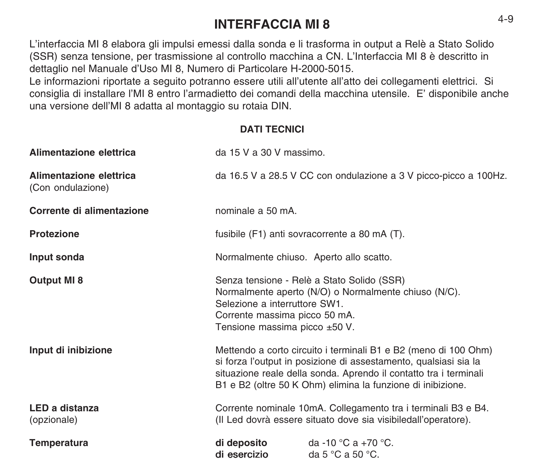# **INTERFACCIA MI 8** 4-9

L'interfaccia MI 8 elabora gli impulsi emessi dalla sonda e li trasforma in output a Relè a Stato Solido (SSR) senza tensione, per trasmissione al controllo macchina a CN. L'Interfaccia MI 8 è descritto in dettaglio nel Manuale d'Uso MI 8, Numero di Particolare H-2000-5015.

Le informazioni riportate a seguito potranno essere utili all'utente all'atto dei collegamenti elettrici. Si consiglia di installare l'MI 8 entro l'armadietto dei comandi della macchina utensile. E' disponibile anche una versione dell'MI 8 adatta al montaggio su rotaia DIN.

#### **DATI TECNICI**

| Alimentazione elettrica                      | da 15 V a 30 V massimo.                                                                                                                                                                                                                                                 |  |  |
|----------------------------------------------|-------------------------------------------------------------------------------------------------------------------------------------------------------------------------------------------------------------------------------------------------------------------------|--|--|
| Alimentazione elettrica<br>(Con ondulazione) | da 16.5 V a 28.5 V CC con ondulazione a 3 V picco-picco a 100Hz.                                                                                                                                                                                                        |  |  |
| Corrente di alimentazione                    | nominale a 50 mA.                                                                                                                                                                                                                                                       |  |  |
| Protezione                                   | fusibile (F1) anti sovracorrente a 80 mA (T).                                                                                                                                                                                                                           |  |  |
| Input sonda                                  | Normalmente chiuso. Aperto allo scatto.                                                                                                                                                                                                                                 |  |  |
| Output MI 8                                  | Senza tensione - Relè a Stato Solido (SSR)<br>Normalmente aperto (N/O) o Normalmente chiuso (N/C).<br>Selezione a interruttore SW1.<br>Corrente massima picco 50 mA.<br>Tensione massima picco ±50 V.                                                                   |  |  |
| Input di inibizione                          | Mettendo a corto circuito i terminali B1 e B2 (meno di 100 Ohm)<br>si forza l'output in posizione di assestamento, qualsiasi sia la<br>situazione reale della sonda. Aprendo il contatto tra i terminali<br>B1 e B2 (oltre 50 K Ohm) elimina la funzione di inibizione. |  |  |
| LED a distanza<br>(opzionale)                | Corrente nominale 10mA. Collegamento tra i terminali B3 e B4.<br>(Il Led dovrà essere situato dove sia visibiledall'operatore).                                                                                                                                         |  |  |
| Temperatura                                  | di deposito<br>da -10 °C a +70 °C.<br>di esercizio<br>da 5 $^{\circ}$ C a 50 $^{\circ}$ C.                                                                                                                                                                              |  |  |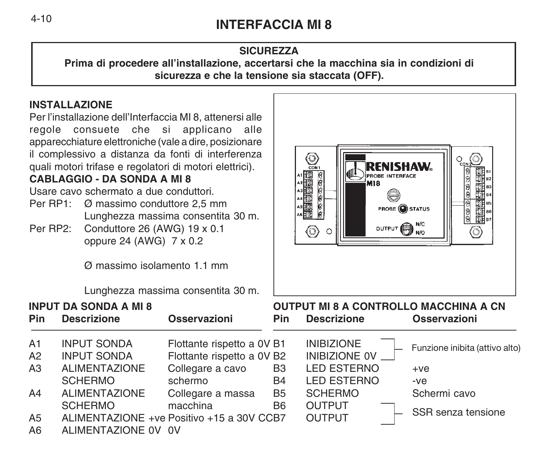# **INTERFACCIA MI 8**

## **SICUREZZA**

**Prima di procedere all'installazione, accertarsi che la macchina sia in condizioni di sicurezza e che la tensione sia staccata (OFF).**

# **INSTALLAZIONE**

Per l'installazione dell'Interfaccia MI 8, attenersi alle regole consuete che si applicano alle apparecchiature elettroniche (vale a dire, posizionare il complessivo a distanza da fonti di interferenza quali motori trifase e regolatori di motori elettrici).

# $C$ **ABI**

- Per RP1: Ø massimo conduttore 2,5 mm Lunghezza massima consentita 30 m.
- Per RP2: Conduttore 26 (AWG) 19 x 0.1 oppure 24 (AWG) 7 x 0.2

| apparecchiature elettroniche (vale a dire, posizionare<br>il complessivo a distanza da fonti di interferenza<br>quali motori trifase e regolatori di motori elettrici).<br><b>CABLAGGIO - DA SONDA A MI 8</b><br>Usare cavo schermato a due conduttori.<br>Per RP1: Ø massimo conduttore 2,5 mm<br>Lunghezza massima consentita 30 m.<br>Per RP2:<br>Conduttore 26 (AWG) 19 x 0.1<br>oppure 24 (AWG) $7 \times 0.2$<br>$\varnothing$ massimo isolamento 1.1 mm<br>Lunghezza massima consentita 30 m. |                                                                                    |                                                                                         |                             | $\bigcirc$<br>RENISHAW.<br>花式<br><b>PROBE INTERFACE</b><br><b>M18</b><br>OUTPUT ON N/C<br>◎<br>O | $\frac{1}{\sqrt{2}}$<br><b>国王</b><br><b>PROBE OSTATUS</b><br>e eo |
|------------------------------------------------------------------------------------------------------------------------------------------------------------------------------------------------------------------------------------------------------------------------------------------------------------------------------------------------------------------------------------------------------------------------------------------------------------------------------------------------------|------------------------------------------------------------------------------------|-----------------------------------------------------------------------------------------|-----------------------------|--------------------------------------------------------------------------------------------------|-------------------------------------------------------------------|
|                                                                                                                                                                                                                                                                                                                                                                                                                                                                                                      | <b>INPUT DA SONDA A MI 8</b>                                                       |                                                                                         |                             | <b>OUTPUT MI 8 A CONTROLLO MACCHINA A CN</b>                                                     |                                                                   |
| <b>Pin</b>                                                                                                                                                                                                                                                                                                                                                                                                                                                                                           | <b>Descrizione</b>                                                                 | Osservazioni                                                                            | Pin                         | <b>Descrizione</b>                                                                               | Osservazioni                                                      |
| A1<br>A2<br>A3                                                                                                                                                                                                                                                                                                                                                                                                                                                                                       | <b>INPUT SONDA</b><br><b>INPUT SONDA</b><br><b>ALIMENTAZIONE</b><br><b>SCHERMO</b> | Flottante rispetto a 0V B1<br>Flottante rispetto a 0V B2<br>Collegare a cavo<br>schermo | B <sub>3</sub><br>B4        | <b>INIBIZIONE</b><br>INIBIZIONE 0V<br><b>LED ESTERNO</b><br><b>LED ESTERNO</b>                   | Funzione inibita (attivo alto)<br>$+ve$<br>$-ve$                  |
| A4<br>A5<br>A6                                                                                                                                                                                                                                                                                                                                                                                                                                                                                       | <b>ALIMENTAZIONE</b><br><b>SCHERMO</b><br>ALIMENTAZIONE OV OV                      | Collegare a massa<br>macchina<br>ALIMENTAZIONE +ve Positivo +15 a 30V CCB7              | <b>B5</b><br>B <sub>6</sub> | <b>SCHERMO</b><br><b>OUTPUT</b><br><b>OUTPUT</b>                                                 | Schermi cavo<br>SSR senza tensione                                |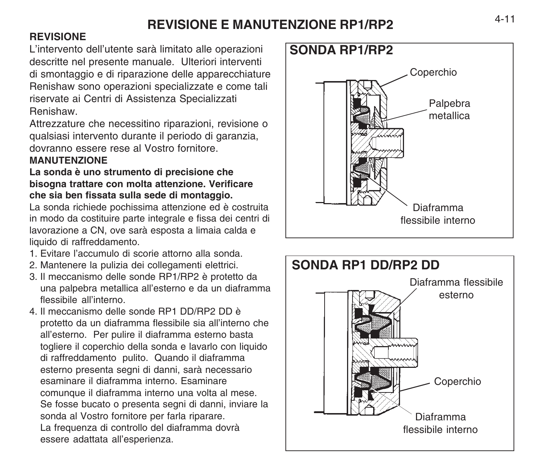# **REVISIONE E MANUTENZIONE RP1/RP2**

# **REVISIONE**

L'intervento dell'utente sarà limitato alle operazioni descritte nel presente manuale. Ulteriori interventi di smontaggio e di riparazione delle apparecchiature Renishaw sono operazioni specializzate e come tali riservate ai Centri di Assistenza Specializzati Renishaw.

Attrezzature che necessitino riparazioni, revisione o qualsiasi intervento durante il periodo di garanzia, dovranno essere rese al Vostro fornitore.

## **MANUTENZIONE**

#### **La sonda è uno strumento di precisione che bisogna trattare con molta attenzione. Verificare che sia ben fissata sulla sede di montaggio.**

La sonda richiede pochissima attenzione ed è costruita in modo da costituire parte integrale e fissa dei centri di lavorazione a CN, ove sarà esposta a limaia calda e liquido di raffreddamento.

- 1. Evitare l'accumulo di scorie attorno alla sonda.
- 2. Mantenere la pulizia dei collegamenti elettrici.
- 3. Il meccanismo delle sonde RP1/RP2 è protetto da una palpebra metallica all'esterno e da un diaframma flessibile all'interno.
- 4. Il meccanismo delle sonde RP1 DD/RP2 DD è protetto da un diaframma flessibile sia all'interno che all'esterno. Per pulire il diaframma esterno basta togliere il coperchio della sonda e lavarlo con liquido di raffreddamento pulito. Quando il diaframma esterno presenta segni di danni, sarà necessario esaminare il diaframma interno. Esaminare comunque il diaframma interno una volta al mese. Se fosse bucato o presenta segni di danni, inviare la sonda al Vostro fornitore per farla riparare. La frequenza di controllo del diaframma dovrà essere adattata all'esperienza.



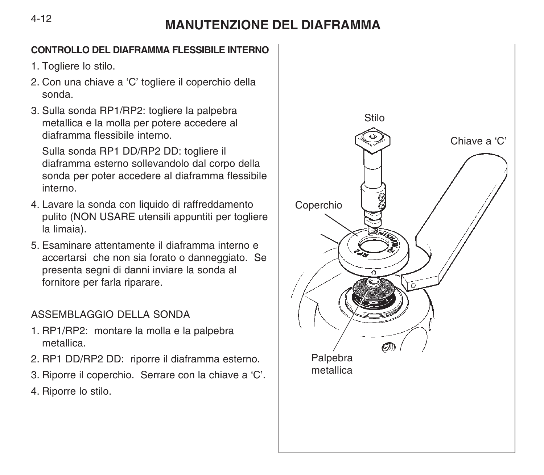#### 4-12

# **MANUTENZIONE DEL DIAFRAMMA**

#### **CONTROLLO DEL DIAFRAMMA FLESSIBILE INTERNO**

- 1. Togliere lo stilo.
- 2. Con una chiave a 'C' togliere il coperchio della sonda.
- 3. Sulla sonda RP1/RP2: togliere la palpebra metallica e la molla per potere accedere al diaframma flessibile interno.

Sulla sonda RP1 DD/RP2 DD: togliere il diaframma esterno sollevandolo dal corpo della sonda per poter accedere al diaframma flessibile interno.

- 4. Lavare la sonda con liquido di raffreddamento pulito (NON USARE utensili appuntiti per togliere la limaia).
- 5. Esaminare attentamente il diaframma interno e accertarsi che non sia forato o danneggiato. Se presenta segni di danni inviare la sonda al fornitore per farla riparare.

# ASSEMBLAGGIO DELLA SONDA

- 1. RP1/RP2: montare la molla e la palpebra metallica.
- 2. RP1 DD/RP2 DD: riporre il diaframma esterno.
- 3. Riporre il coperchio. Serrare con la chiave a 'C'.
- 4. Riporre lo stilo.

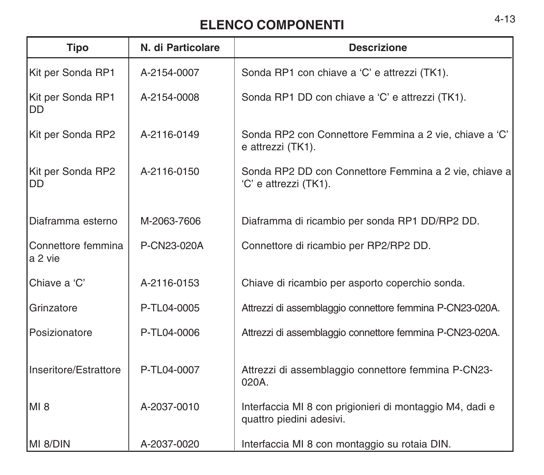# **ELENCO COMPONENTI** 4-13

| <b>Tipo</b>                   | N. di Particolare | <b>Descrizione</b>                                                                   |
|-------------------------------|-------------------|--------------------------------------------------------------------------------------|
| Kit per Sonda RP1             | A-2154-0007       | Sonda RP1 con chiave a 'C' e attrezzi (TK1).                                         |
| Kit per Sonda RP1<br>DD       | A-2154-0008       | Sonda RP1 DD con chiave a 'C' e attrezzi (TK1).                                      |
| Kit per Sonda RP2             | A-2116-0149       | Sonda RP2 con Connettore Femmina a 2 vie, chiave a 'C'<br>e attrezzi (TK1).          |
| Kit per Sonda RP2<br>DD       | A-2116-0150       | Sonda RP2 DD con Connettore Femmina a 2 vie, chiave a<br>'C' e attrezzi (TK1).       |
| Diaframma esterno             | M-2063-7606       | Diaframma di ricambio per sonda RP1 DD/RP2 DD.                                       |
| Connettore femmina<br>a 2 vie | P-CN23-020A       | Connettore di ricambio per RP2/RP2 DD.                                               |
| Chiave a 'C'                  | A-2116-0153       | Chiave di ricambio per asporto coperchio sonda.                                      |
| Grinzatore                    | P-TL04-0005       | Attrezzi di assemblaggio connettore femmina P-CN23-020A.                             |
| Posizionatore                 | P-TL04-0006       | Attrezzi di assemblaggio connettore femmina P-CN23-020A.                             |
| Inseritore/Estrattore         | P-TL04-0007       | Attrezzi di assemblaggio connettore femmina P-CN23-<br>020A.                         |
| MI 8                          | A-2037-0010       | Interfaccia MI 8 con prigionieri di montaggio M4, dadi e<br>quattro piedini adesivi. |
| IMI 8/DIN                     | A-2037-0020       | Interfaccia MI 8 con montaggio su rotaia DIN.                                        |